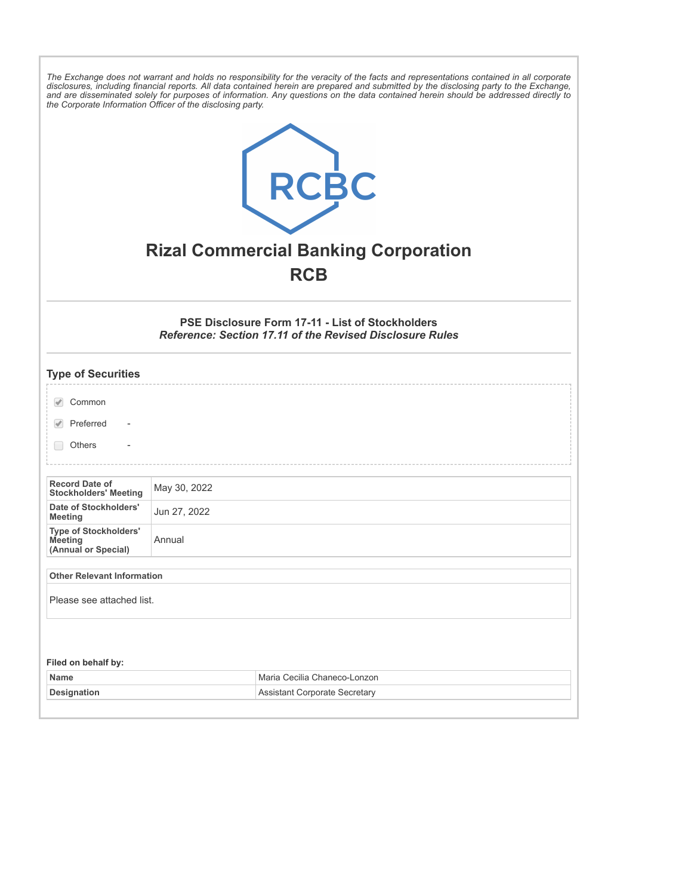| The Exchange does not warrant and holds no responsibility for the veracity of the facts and representations contained in all corporate<br>disclosures, including financial reports. All data contained herein are prepared and submitted by the disclosing party to the Exchange,<br>and are disseminated solely for purposes of information. Any questions on the data contained herein should be addressed directly to<br>the Corporate Information Officer of the disclosing party.<br>RCBC<br><b>Rizal Commercial Banking Corporation</b><br><b>RCB</b> |              |                                      |  |
|-------------------------------------------------------------------------------------------------------------------------------------------------------------------------------------------------------------------------------------------------------------------------------------------------------------------------------------------------------------------------------------------------------------------------------------------------------------------------------------------------------------------------------------------------------------|--------------|--------------------------------------|--|
| <b>PSE Disclosure Form 17-11 - List of Stockholders</b><br><b>Reference: Section 17.11 of the Revised Disclosure Rules</b>                                                                                                                                                                                                                                                                                                                                                                                                                                  |              |                                      |  |
| <b>Type of Securities</b>                                                                                                                                                                                                                                                                                                                                                                                                                                                                                                                                   |              |                                      |  |
| Common                                                                                                                                                                                                                                                                                                                                                                                                                                                                                                                                                      |              |                                      |  |
| Preferred                                                                                                                                                                                                                                                                                                                                                                                                                                                                                                                                                   |              |                                      |  |
| <b>Others</b>                                                                                                                                                                                                                                                                                                                                                                                                                                                                                                                                               |              |                                      |  |
| <b>Record Date of</b><br><b>Stockholders' Meeting</b>                                                                                                                                                                                                                                                                                                                                                                                                                                                                                                       | May 30, 2022 |                                      |  |
| Date of Stockholders'<br>Meeting                                                                                                                                                                                                                                                                                                                                                                                                                                                                                                                            | Jun 27, 2022 |                                      |  |
| <b>Type of Stockholders'</b><br>Meeting<br>(Annual or Special)                                                                                                                                                                                                                                                                                                                                                                                                                                                                                              | Annual       |                                      |  |
| <b>Other Relevant Information</b>                                                                                                                                                                                                                                                                                                                                                                                                                                                                                                                           |              |                                      |  |
| Please see attached list.                                                                                                                                                                                                                                                                                                                                                                                                                                                                                                                                   |              |                                      |  |
| Filed on behalf by:                                                                                                                                                                                                                                                                                                                                                                                                                                                                                                                                         |              |                                      |  |
| Name                                                                                                                                                                                                                                                                                                                                                                                                                                                                                                                                                        |              | Maria Cecilia Chaneco-Lonzon         |  |
| <b>Designation</b>                                                                                                                                                                                                                                                                                                                                                                                                                                                                                                                                          |              | <b>Assistant Corporate Secretary</b> |  |
|                                                                                                                                                                                                                                                                                                                                                                                                                                                                                                                                                             |              |                                      |  |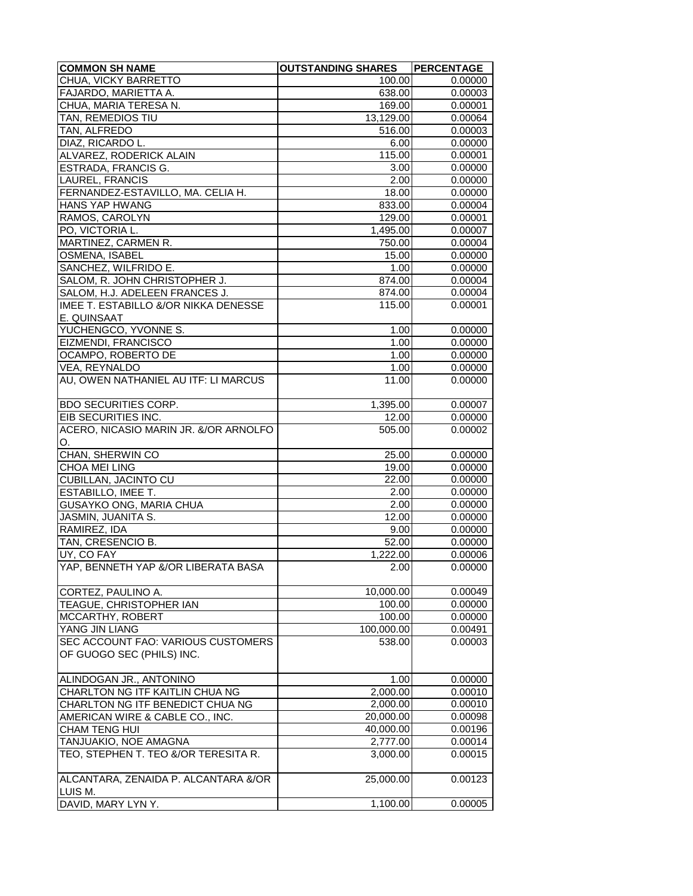| <b>COMMON SH NAME</b>                                               | <b>OUTSTANDING SHARES</b> | PERCENTAGE         |
|---------------------------------------------------------------------|---------------------------|--------------------|
| CHUA, VICKY BARRETTO                                                | 100.00                    | 0.00000            |
| FAJARDO, MARIETTA A.                                                | 638.00                    | 0.00003            |
| CHUA, MARIA TERESA N.                                               | 169.00                    | 0.00001            |
| TAN, REMEDIOS TIU                                                   | $\overline{13}, 129.00$   | 0.00064            |
| TAN, ALFREDO                                                        | 516.00                    | 0.00003            |
| DIAZ, RICARDO L.                                                    | 6.00                      | 0.00000            |
| ALVAREZ, RODERICK ALAIN                                             | 115.00                    | 0.00001            |
| <b>ESTRADA, FRANCIS G.</b>                                          | 3.00                      | 0.00000            |
| LAUREL, FRANCIS                                                     | 2.00                      | 0.00000            |
| FERNANDEZ-ESTAVILLO, MA. CELIA H.                                   | 18.00                     | 0.00000            |
| <b>HANS YAP HWANG</b>                                               | 833.00                    | 0.00004            |
| RAMOS, CAROLYN                                                      | 129.00                    | 0.00001            |
| PO, VICTORIA L.                                                     | 1,495.00                  | 0.00007            |
| MARTINEZ, CARMEN R.                                                 | 750.00                    | 0.00004            |
| OSMENA, ISABEL                                                      | 15.00                     | 0.00000            |
| SANCHEZ, WILFRIDO E.                                                | 1.00                      | 0.00000            |
| SALOM, R. JOHN CHRISTOPHER J.                                       | 874.00                    | 0.00004            |
| SALOM, H.J. ADELEEN FRANCES J.                                      | 874.00                    | 0.00004            |
| IMEE T. ESTABILLO &/OR NIKKA DENESSE                                | 115.00                    | 0.00001            |
| E. QUINSAAT                                                         |                           |                    |
| YUCHENGCO, YVONNE S.                                                | 1.00                      | 0.00000            |
| EIZMENDI, FRANCISCO                                                 | 1.00                      | 0.00000            |
| OCAMPO, ROBERTO DE                                                  | 1.00                      | 0.00000            |
| VEA, REYNALDO                                                       | 1.00                      | 0.00000            |
| AU, OWEN NATHANIEL AU ITF: LI MARCUS                                | 11.00                     | 0.00000            |
|                                                                     |                           |                    |
| BDO SECURITIES CORP.                                                | 1,395.00                  | 0.00007            |
| EIB SECURITIES INC.                                                 | 12.00                     | 0.00000            |
| ACERO, NICASIO MARIN JR. &/OR ARNOLFO                               | 505.00                    | 0.00002            |
| O.                                                                  |                           |                    |
| CHAN, SHERWIN CO                                                    | 25.00                     | 0.00000            |
| CHOA MEI LING                                                       | 19.00                     | 0.00000            |
| <b>CUBILLAN, JACINTO CU</b>                                         | 22.00                     | 0.00000            |
| ESTABILLO, IMEE T.                                                  | 2.00                      | 0.00000            |
| GUSAYKO ONG, MARIA CHUA                                             | 2.00                      | 0.00000            |
| JASMIN, JUANITA S.                                                  | 12.00                     | 0.00000            |
| RAMIREZ, IDA                                                        | 9.00                      | 0.00000            |
| TAN, CRESENCIO B.                                                   | 52.00                     | 0.00000            |
| UY, CO FAY                                                          | 1,222.00                  | 0.00006            |
| YAP, BENNETH YAP &/OR LIBERATA BASA                                 | 2.00                      | 0.00000            |
|                                                                     |                           |                    |
| CORTEZ, PAULINO A.                                                  | 10,000.00                 | 0.00049            |
| TEAGUE, CHRISTOPHER IAN                                             | 100.00                    | 0.00000            |
| MCCARTHY, ROBERT                                                    | 100.00                    | 0.00000            |
| YANG JIN LIANG                                                      | 100,000.00                | 0.00491            |
| SEC ACCOUNT FAO: VARIOUS CUSTOMERS                                  | 538.00                    | 0.00003            |
| OF GUOGO SEC (PHILS) INC.                                           |                           |                    |
|                                                                     |                           |                    |
| ALINDOGAN JR., ANTONINO<br><b>CHARLTON NG ITF KAITLIN CHUA NG</b>   | 1.00<br>2,000.00          | 0.00000            |
|                                                                     |                           | 0.00010            |
| CHARLTON NG ITF BENEDICT CHUA NG<br>AMERICAN WIRE & CABLE CO., INC. | 2,000.00<br>20,000.00     | 0.00010<br>0.00098 |
|                                                                     |                           |                    |
| CHAM TENG HUI<br>TANJUAKIO, NOE AMAGNA                              | 40,000.00                 | 0.00196<br>0.00014 |
| TEO, STEPHEN T. TEO &/OR TERESITA R.                                | 2,777.00<br>3,000.00      | 0.00015            |
|                                                                     |                           |                    |
| ALCANTARA, ZENAIDA P. ALCANTARA &/OR                                | 25,000.00                 | 0.00123            |
| LUIS M.                                                             |                           |                    |
| DAVID, MARY LYN Y.                                                  | 1,100.00                  | 0.00005            |
|                                                                     |                           |                    |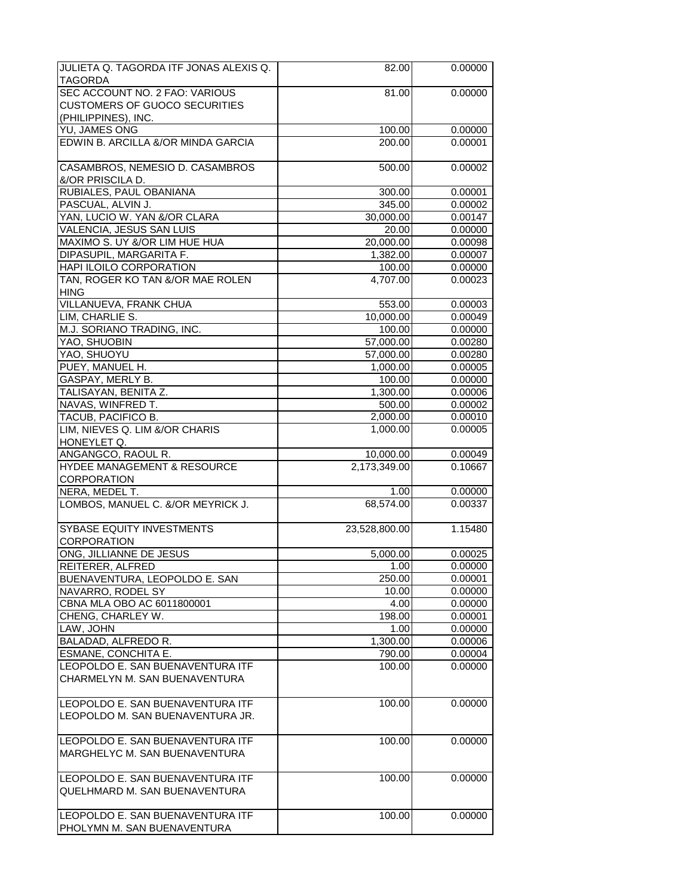| JULIETA Q. TAGORDA ITF JONAS ALEXIS Q.                               | 82.00              | 0.00000 |
|----------------------------------------------------------------------|--------------------|---------|
| TAGORDA                                                              |                    |         |
| SEC ACCOUNT NO. 2 FAO: VARIOUS                                       | 81.00              | 0.00000 |
| <b>CUSTOMERS OF GUOCO SECURITIES</b>                                 |                    |         |
| (PHILIPPINES), INC.                                                  |                    |         |
| YU, JAMES ONG                                                        | 100.00             | 0.00000 |
| EDWIN B. ARCILLA &/OR MINDA GARCIA                                   | 200.00             | 0.00001 |
| CASAMBROS, NEMESIO D. CASAMBROS                                      | 500.00             | 0.00002 |
| &/OR PRISCILA D.                                                     |                    |         |
| RUBIALES, PAUL OBANIANA                                              | 300.00             | 0.00001 |
| PASCUAL, ALVIN J.                                                    | 345.00             | 0.00002 |
| YAN, LUCIO W. YAN &/OR CLARA                                         | 30,000.00          | 0.00147 |
| VALENCIA, JESUS SAN LUIS                                             | 20.00              | 0.00000 |
| MAXIMO S. UY &/OR LIM HUE HUA                                        | 20,000.00          | 0.00098 |
| DIPASUPIL, MARGARITA F.                                              | 1,382.00           | 0.00007 |
| <b>HAPI ILOILO CORPORATION</b>                                       | 100.00             | 0.00000 |
| TAN, ROGER KO TAN &/OR MAE ROLEN                                     | 4,707.00           | 0.00023 |
| <b>HING</b><br>VILLANUEVA, FRANK CHUA                                | 553.00             | 0.00003 |
| LIM, CHARLIE S.                                                      | 10,000.00          | 0.00049 |
| M.J. SORIANO TRADING, INC.                                           | 100.00             | 0.00000 |
| YAO, SHUOBIN                                                         | 57,000.00          | 0.00280 |
| YAO, SHUOYU                                                          | 57,000.00          | 0.00280 |
| PUEY, MANUEL H.                                                      | 1,000.00           | 0.00005 |
| GASPAY, MERLY B.                                                     | 100.00             | 0.00000 |
| TALISAYAN, BENITA Z.                                                 | 1,300.00           | 0.00006 |
| NAVAS, WINFRED T.                                                    | 500.00             | 0.00002 |
| TACUB, PACIFICO B.                                                   | 2,000.00           | 0.00010 |
| LIM, NIEVES Q. LIM &/OR CHARIS                                       | 1,000.00           | 0.00005 |
| HONEYLET Q.                                                          |                    |         |
| ANGANGCO, RAOUL R.                                                   | 10,000.00          | 0.00049 |
| HYDEE MANAGEMENT & RESOURCE                                          | 2,173,349.00       | 0.10667 |
| CORPORATION                                                          |                    |         |
| NERA, MEDEL T.                                                       | $\overline{1}$ .00 | 0.00000 |
| LOMBOS, MANUEL C. &/OR MEYRICK J.                                    | 68,574.00          | 0.00337 |
|                                                                      |                    |         |
| SYBASE EQUITY INVESTMENTS                                            | 23,528,800.00      | 1.15480 |
| CORPORATION                                                          |                    |         |
| ONG, JILLIANNE DE JESUS                                              | 5,000.00           | 0.00025 |
| REITERER, ALFRED                                                     | 1.00               | 0.00000 |
| BUENAVENTURA, LEOPOLDO E. SAN                                        | 250.00             | 0.00001 |
| NAVARRO, RODEL SY                                                    | 10.00              | 0.00000 |
| CBNA MLA OBO AC 6011800001                                           | 4.00               | 0.00000 |
| CHENG, CHARLEY W.                                                    | 198.00             | 0.00001 |
| LAW, JOHN                                                            | 1.00               | 0.00000 |
| BALADAD, ALFREDO R.                                                  | 1,300.00           | 0.00006 |
| ESMANE, CONCHITA E.                                                  | 790.00             | 0.00004 |
|                                                                      |                    |         |
| LEOPOLDO E. SAN BUENAVENTURA ITF                                     | 100.00             | 0.00000 |
| CHARMELYN M. SAN BUENAVENTURA                                        |                    |         |
|                                                                      | 100.00             | 0.00000 |
| LEOPOLDO E. SAN BUENAVENTURA ITF<br>LEOPOLDO M. SAN BUENAVENTURA JR. |                    |         |
|                                                                      |                    |         |
| LEOPOLDO E. SAN BUENAVENTURA ITF                                     | 100.00             |         |
| MARGHELYC M. SAN BUENAVENTURA                                        |                    | 0.00000 |
| LEOPOLDO E. SAN BUENAVENTURA ITF                                     | 100.00             | 0.00000 |
| QUELHMARD M. SAN BUENAVENTURA                                        |                    |         |
| LEOPOLDO E. SAN BUENAVENTURA ITF                                     | 100.00             | 0.00000 |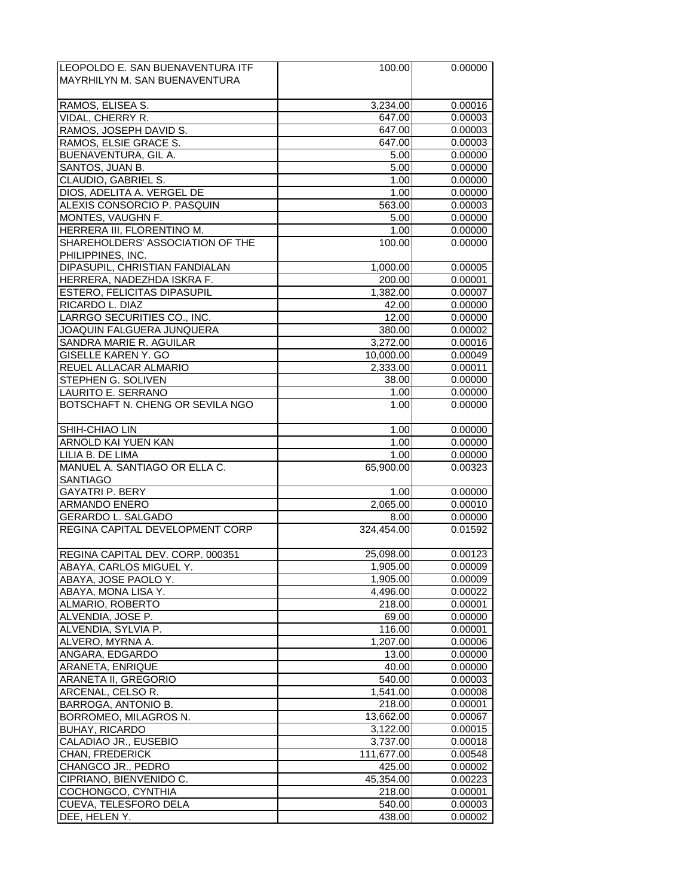| LEOPOLDO E. SAN BUENAVENTURA ITF | 100.00                | 0.00000 |
|----------------------------------|-----------------------|---------|
| MAYRHILYN M. SAN BUENAVENTURA    |                       |         |
|                                  |                       |         |
| RAMOS, ELISEA S.                 | 3,234.00              | 0.00016 |
|                                  |                       |         |
| VIDAL, CHERRY R.                 | 647.00                | 0.00003 |
| RAMOS, JOSEPH DAVID S.           | 647.00                | 0.00003 |
| RAMOS, ELSIE GRACE S.            | 647.00                | 0.00003 |
| BUENAVENTURA, GIL A.             | 5.00                  | 0.00000 |
| SANTOS, JUAN B.                  | 5.00                  | 0.00000 |
| CLAUDIO, GABRIEL S.              | 1.00                  | 0.00000 |
| DIOS, ADELITA A. VERGEL DE       | 1.00                  | 0.00000 |
| ALEXIS CONSORCIO P. PASQUIN      | 563.00                | 0.00003 |
|                                  |                       |         |
| MONTES, VAUGHN F.                | 5.00                  | 0.00000 |
| HERRERA III, FLORENTINO M.       | 1.00                  | 0.00000 |
| SHAREHOLDERS' ASSOCIATION OF THE | 100.00                | 0.00000 |
| PHILIPPINES, INC.                |                       |         |
| DIPASUPIL, CHRISTIAN FANDIALAN   | 1,000.00              | 0.00005 |
| HERRERA, NADEZHDA ISKRA F.       | 200.00                | 0.00001 |
| ESTERO, FELICITAS DIPASUPIL      | 1,382.00              | 0.00007 |
| RICARDO L. DIAZ                  | 42.00                 | 0.00000 |
| LARRGO SECURITIES CO., INC.      | 12.00                 | 0.00000 |
| JOAQUIN FALGUERA JUNQUERA        | 380.00                | 0.00002 |
|                                  |                       |         |
| SANDRA MARIE R. AGUILAR          | 3,272.00              | 0.00016 |
| <b>GISELLE KAREN Y. GO</b>       | 10,000.00             | 0.00049 |
| REUEL ALLACAR ALMARIO            | 2,333.00              | 0.00011 |
| STEPHEN G. SOLIVEN               | 38.00                 | 0.00000 |
| LAURITO E. SERRANO               | 1.00                  | 0.00000 |
| BOTSCHAFT N. CHENG OR SEVILA NGO | 1.00                  | 0.00000 |
|                                  |                       |         |
| SHIH-CHIAO LIN                   | 1.00                  | 0.00000 |
| ARNOLD KAI YUEN KAN              | 1.00                  | 0.00000 |
|                                  |                       |         |
| LILIA B. DE LIMA                 | 1.00                  | 0.00000 |
| MANUEL A. SANTIAGO OR ELLA C.    | 65,900.00             | 0.00323 |
| <b>SANTIAGO</b>                  |                       |         |
| <b>GAYATRI P. BERY</b>           | $\overline{1}$ .00    | 0.00000 |
| ARMANDO ENERO                    | 2,065.00              | 0.00010 |
| <b>GERARDO L. SALGADO</b>        | 8.00                  | 0.00000 |
| REGINA CAPITAL DEVELOPMENT CORP  | 324,454.00            | 0.01592 |
|                                  |                       |         |
| REGINA CAPITAL DEV. CORP. 000351 | 25,098.00             | 0.00123 |
|                                  |                       |         |
| ABAYA, CARLOS MIGUEL Y.          | 1,905.00              | 0.00009 |
| ABAYA, JOSE PAOLO Y.             | 1,905.00              | 0.00009 |
| ABAYA, MONA LISA Y.              | 4,496.00              | 0.00022 |
| ALMARIO, ROBERTO                 | 218.00                | 0.00001 |
| ALVENDIA, JOSE P.                | 69.00                 | 0.00000 |
| ALVENDIA, SYLVIA P.              | 116.00                | 0.00001 |
| ALVERO, MYRNA A.                 | 1,207.00              | 0.00006 |
| ANGARA, EDGARDO                  | 13.00                 | 0.00000 |
| ARANETA, ENRIQUE                 | 40.00                 | 0.00000 |
|                                  |                       |         |
| ARANETA II, GREGORIO             | 540.00                | 0.00003 |
| ARCENAL, CELSO R.                | $\overline{1,541.00}$ | 0.00008 |
| BARROGA, ANTONIO B.              | 218.00                | 0.00001 |
| BORROMEO, MILAGROS N.            | 13,662.00             | 0.00067 |
| <b>BUHAY, RICARDO</b>            | 3,122.00              | 0.00015 |
| CALADIAO JR., EUSEBIO            | 3,737.00              | 0.00018 |
| <b>CHAN, FREDERICK</b>           | 111,677.00            | 0.00548 |
| CHANGCO JR., PEDRO               | 425.00                | 0.00002 |
|                                  |                       |         |
| CIPRIANO, BIENVENIDO C.          | 45,354.00             | 0.00223 |
| COCHONGCO, CYNTHIA               | 218.00                | 0.00001 |
| CUEVA, TELESFORO DELA            | 540.00                | 0.00003 |
| DEE, HELEN Y.                    | 438.00                | 0.00002 |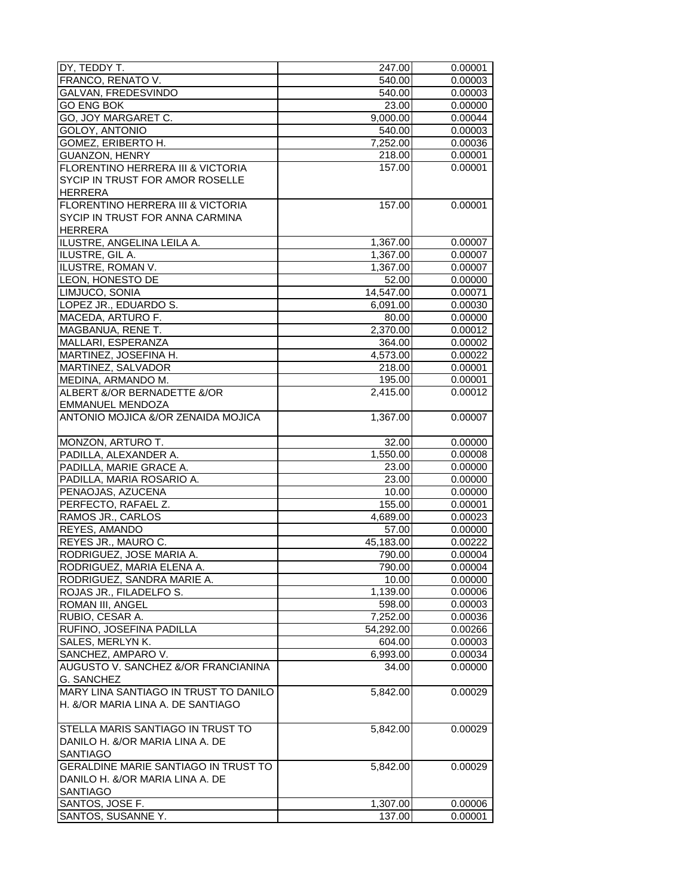| DY, TEDDY T.                          | 247.00                | 0.00001 |
|---------------------------------------|-----------------------|---------|
| FRANCO, RENATO V.                     | 540.00                | 0.00003 |
| GALVAN, FREDESVINDO                   | 540.00                | 0.00003 |
| <b>GO ENG BOK</b>                     | 23.00                 | 0.00000 |
| GO, JOY MARGARET C.                   | 9,000.00              | 0.00044 |
| GOLOY, ANTONIO                        | 540.00                | 0.00003 |
| GOMEZ, ERIBERTO H.                    | $\overline{7,}252.00$ | 0.00036 |
| GUANZON, HENRY                        | 218.00                | 0.00001 |
| FLORENTINO HERRERA III & VICTORIA     | 157.00                | 0.00001 |
|                                       |                       |         |
| SYCIP IN TRUST FOR AMOR ROSELLE       |                       |         |
| <b>HERRERA</b>                        |                       |         |
| FLORENTINO HERRERA III & VICTORIA     | 157.00                | 0.00001 |
| SYCIP IN TRUST FOR ANNA CARMINA       |                       |         |
| <b>HERRERA</b>                        |                       |         |
| ILUSTRE, ANGELINA LEILA A.            | 1,367.00              | 0.00007 |
| ILUSTRE, GIL A.                       | 1,367.00              | 0.00007 |
| ILUSTRE, ROMAN V.                     | 1,367.00              | 0.00007 |
| LEON, HONESTO DE                      | 52.00                 | 0.00000 |
| LIMJUCO, SONIA                        | 14,547.00             | 0.00071 |
| LOPEZ JR., EDUARDO S.                 | 6,091.00              | 0.00030 |
| MACEDA, ARTURO F.                     | 80.00                 | 0.00000 |
| MAGBANUA, RENE T.                     | 2,370.00              | 0.00012 |
| MALLARI, ESPERANZA                    | 364.00                | 0.00002 |
| MARTINEZ, JOSEFINA H.                 | 4,573.00              | 0.00022 |
|                                       |                       |         |
| MARTINEZ, SALVADOR                    | 218.00                | 0.00001 |
| MEDINA, ARMANDO M.                    | 195.00                | 0.00001 |
| ALBERT &/OR BERNADETTE &/OR           | 2,415.00              | 0.00012 |
| EMMANUEL MENDOZA                      |                       |         |
| ANTONIO MOJICA &/OR ZENAIDA MOJICA    | 1,367.00              | 0.00007 |
|                                       |                       |         |
| MONZON, ARTURO T.                     | 32.00                 | 0.00000 |
| PADILLA, ALEXANDER A.                 | 1,550.00              | 0.00008 |
| PADILLA, MARIE GRACE A.               | 23.00                 | 0.00000 |
| PADILLA, MARIA ROSARIO A.             | 23.00                 | 0.00000 |
| PENAOJAS, AZUCENA                     | 10.00                 | 0.00000 |
| PERFECTO, RAFAEL Z.                   | 155.00                | 0.00001 |
| RAMOS JR., CARLOS                     | 4,689.00              | 0.00023 |
| REYES, AMANDO                         | 57.00                 | 0.00000 |
| REYES JR., MAURO C.                   | 45,183.00             | 0.00222 |
| RODRIGUEZ, JOSE MARIA A.              | 790.00                | 0.00004 |
| RODRIGUEZ, MARIA ELENA A              | 790.00                | 0.00004 |
|                                       | 10.00                 |         |
| RODRIGUEZ, SANDRA MARIE A.            |                       | 0.00000 |
| ROJAS JR., FILADELFO S.               | 1,139.00              | 0.00006 |
| ROMAN III, ANGEL                      | 598.00                | 0.00003 |
| RUBIO, CESAR A.                       | 7,252.00              | 0.00036 |
| RUFINO, JOSEFINA PADILLA              | 54,292.00             | 0.00266 |
| SALES, MERLYN K.                      | 604.00                | 0.00003 |
| SANCHEZ, AMPARO V.                    | 6,993.00              | 0.00034 |
| AUGUSTO V. SANCHEZ &/OR FRANCIANINA   | 34.00                 | 0.00000 |
| G. SANCHEZ                            |                       |         |
| MARY LINA SANTIAGO IN TRUST TO DANILO | 5,842.00              | 0.00029 |
| H. &/OR MARIA LINA A. DE SANTIAGO     |                       |         |
|                                       |                       |         |
| STELLA MARIS SANTIAGO IN TRUST TO     | 5,842.00              | 0.00029 |
| DANILO H. &/OR MARIA LINA A. DE       |                       |         |
| <b>SANTIAGO</b>                       |                       |         |
| GERALDINE MARIE SANTIAGO IN TRUST TO  | 5,842.00              | 0.00029 |
| DANILO H. &/OR MARIA LINA A. DE       |                       |         |
| <b>SANTIAGO</b>                       |                       |         |
|                                       |                       |         |
| SANTOS, JOSE F.                       | 1,307.00              | 0.00006 |
| SANTOS, SUSANNE Y.                    | 137.00                | 0.00001 |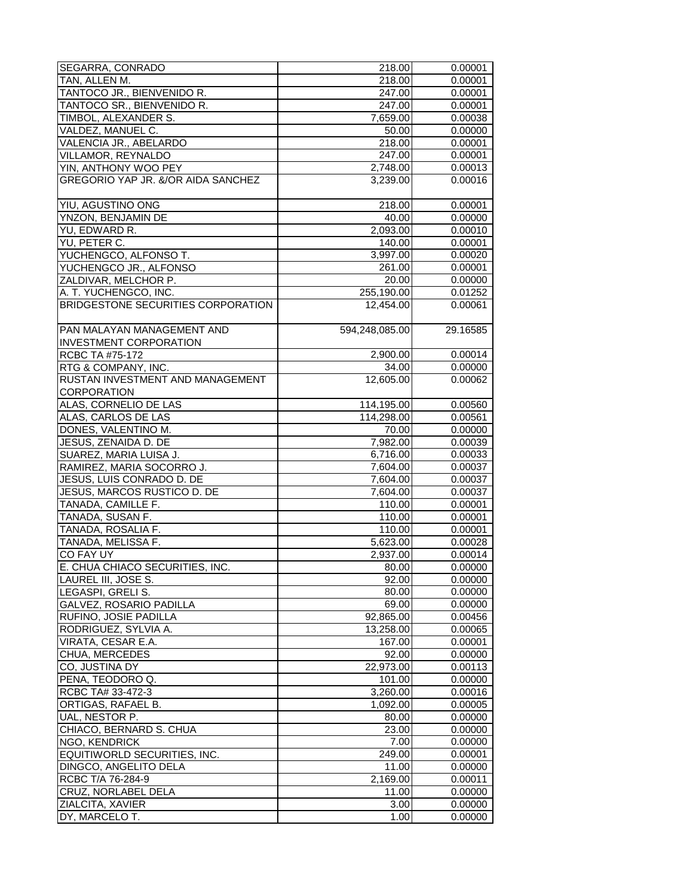| SEGARRA, CONRADO                     | 218.00            | 0.00001  |
|--------------------------------------|-------------------|----------|
| TAN, ALLEN M.                        | 218.00            | 0.00001  |
| TANTOCO JR., BIENVENIDO R.           | 247.00            | 0.00001  |
| TANTOCO SR., BIENVENIDO R.           | 247.00            | 0.00001  |
| TIMBOL, ALEXANDER S.                 | 7,659.00          | 0.00038  |
| VALDEZ, MANUEL C.                    | 50.00             | 0.00000  |
| VALENCIA JR., ABELARDO               | 218.00            | 0.00001  |
| VILLAMOR, REYNALDO                   | 247.00            | 0.00001  |
| YIN, ANTHONY WOO PEY                 | 2,748.00          | 0.00013  |
| GREGORIO YAP JR. &/OR AIDA SANCHEZ   | 3,239.00          | 0.00016  |
|                                      |                   |          |
| YIU. AGUSTINO ONG                    | 218.00            | 0.00001  |
|                                      | 40.00             | 0.00000  |
| YNZON, BENJAMIN DE                   |                   |          |
| YU, EDWARD R.                        | 2,093.00          | 0.00010  |
| YU, PETER C.                         | 140.00            | 0.00001  |
| YUCHENGCO, ALFONSO T.                | 3,997.00          | 0.00020  |
| YUCHENGCO JR., ALFONSO               | 261.00            | 0.00001  |
| ZALDIVAR, MELCHOR P.                 | 20.00             | 0.00000  |
| A. T. YUCHENGCO, INC.                | 255,190.00        | 0.01252  |
| BRIDGESTONE SECURITIES CORPORATION   | 12,454.00         | 0.00061  |
|                                      |                   |          |
| PAN MALAYAN MANAGEMENT AND           | 594,248,085.00    | 29.16585 |
| <b>INVESTMENT CORPORATION</b>        |                   |          |
| RCBC TA #75-172                      | 2,900.00          | 0.00014  |
| RTG & COMPANY, INC.                  | 34.00             | 0.00000  |
| RUSTAN INVESTMENT AND MANAGEMENT     | 12,605.00         | 0.00062  |
| CORPORATION                          |                   |          |
| ALAS, CORNELIO DE LAS                | 114,195.00        | 0.00560  |
| ALAS, CARLOS DE LAS                  | 114,298.00        | 0.00561  |
| DONES, VALENTINO M.                  | 70.00             | 0.00000  |
| JESUS, ZENAIDA D. DE                 | 7,982.00          | 0.00039  |
| SUAREZ, MARIA LUISA J.               | 6,716.00          | 0.00033  |
| RAMIREZ, MARIA SOCORRO J.            | 7,604.00          | 0.00037  |
| JESUS, LUIS CONRADO D. DE            | 7,604.00          | 0.00037  |
| JESUS, MARCOS RUSTICO D. DE          | 7,604.00          | 0.00037  |
| TANADA, CAMILLE F.                   | 110.00            | 0.00001  |
| TANADA, SUSAN F.                     | 110.00            | 0.00001  |
| TANADA, ROSALIA F.                   | 110.00            | 0.00001  |
| TANADA, MELISSA F.                   | 5,623.00          | 0.00028  |
| CO FAY UY                            | 2,937.00          | 0.00014  |
| E. CHUA CHIACO SECURITIES, INC.      | 80.00             | 0.00000  |
| LAUREL III, JOSE S.                  | 92.00             | 0.00000  |
| LEGASPI, GRELI S.                    | 80.00             | 0.00000  |
| GALVEZ, ROSARIO PADILLA              | 69.00             | 0.00000  |
| RUFINO, JOSIE PADILLA                | 92,865.00         | 0.00456  |
| RODRIGUEZ, SYLVIA A.                 | 13,258.00         | 0.00065  |
| VIRATA, CESAR E.A.                   | 167.00            | 0.00001  |
| CHUA, MERCEDES                       | 92.00             | 0.00000  |
| CO, JUSTINA DY                       | 22,973.00         | 0.00113  |
| PENA, TEODORO Q.                     | 101.00            | 0.00000  |
| RCBC TA# 33-472-3                    | 3,260.00          | 0.00016  |
|                                      |                   | 0.00005  |
| ORTIGAS, RAFAEL B.<br>UAL, NESTOR P. | 1,092.00<br>80.00 | 0.00000  |
| CHIACO, BERNARD S. CHUA              | 23.00             |          |
|                                      |                   | 0.00000  |
| NGO, KENDRICK                        | 7.00              | 0.00000  |
| EQUITIWORLD SECURITIES, INC.         | 249.00            | 0.00001  |
| DINGCO, ANGELITO DELA                | 11.00             | 0.00000  |
| RCBC T/A 76-284-9                    | 2,169.00          | 0.00011  |
| CRUZ, NORLABEL DELA                  | 11.00             | 0.00000  |
| ZIALCITA, XAVIER                     | 3.00              | 0.00000  |
| DY, MARCELO T.                       | 1.00              | 0.00000  |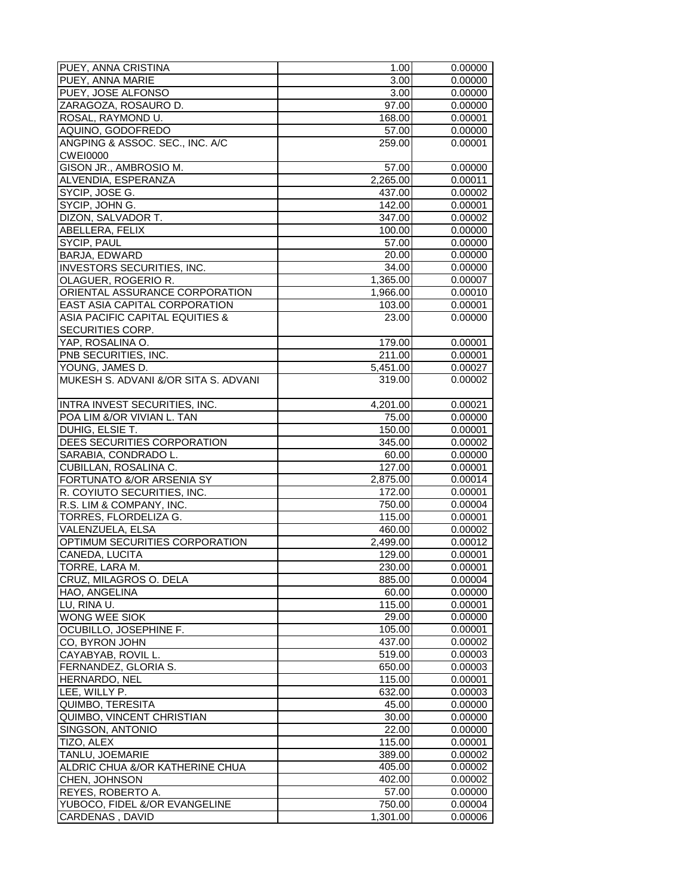| PUEY, ANNA CRISTINA                        | 1.00     | 0.00000 |
|--------------------------------------------|----------|---------|
| PUEY, ANNA MARIE                           | 3.00     | 0.00000 |
| PUEY, JOSE ALFONSO                         | 3.00     | 0.00000 |
| ZARAGOZA, ROSAURO D.                       | 97.00    | 0.00000 |
| ROSAL, RAYMOND U.                          | 168.00   | 0.00001 |
| AQUINO, GODOFREDO                          | 57.00    | 0.00000 |
| ANGPING & ASSOC. SEC., INC. A/C            | 259.00   | 0.00001 |
| <b>CWEI0000</b>                            |          |         |
| GISON JR., AMBROSIO M.                     | 57.00    | 0.00000 |
| ALVENDIA, ESPERANZA                        | 2,265.00 | 0.00011 |
|                                            |          |         |
| SYCIP, JOSE G.                             | 437.00   | 0.00002 |
| SYCIP, JOHN G.                             | 142.00   | 0.00001 |
| DIZON, SALVADOR T.                         | 347.00   | 0.00002 |
| ABELLERA, FELIX                            | 100.00   | 0.00000 |
| SYCIP, PAUL                                | 57.00    | 0.00000 |
| BARJA, EDWARD                              | 20.00    | 0.00000 |
| INVESTORS SECURITIES, INC.                 | 34.00    | 0.00000 |
| OLAGUER, ROGERIO R.                        | 1,365.00 | 0.00007 |
| ORIENTAL ASSURANCE CORPORATION             | 1,966.00 | 0.00010 |
| EAST ASIA CAPITAL CORPORATION              | 103.00   | 0.00001 |
| <b>ASIA PACIFIC CAPITAL EQUITIES &amp;</b> | 23.00    | 0.00000 |
| SECURITIES CORP.                           |          |         |
| YAP, ROSALINA O.                           | 179.00   | 0.00001 |
| PNB SECURITIES, INC.                       | 211.00   | 0.00001 |
| YOUNG, JAMES D.                            | 5,451.00 | 0.00027 |
| MUKESH S. ADVANI &/OR SITA S. ADVANI       | 319.00   | 0.00002 |
|                                            |          |         |
| INTRA INVEST SECURITIES, INC.              | 4,201.00 | 0.00021 |
| POA LIM &/OR VIVIAN L. TAN                 | 75.00    | 0.00000 |
| DUHIG, ELSIE T.                            | 150.00   | 0.00001 |
| DEES SECURITIES CORPORATION                | 345.00   | 0.00002 |
| SARABIA, CONDRADO L.                       | 60.00    | 0.00000 |
| CUBILLAN, ROSALINA C.                      | 127.00   | 0.00001 |
| FORTUNATO &/OR ARSENIA SY                  | 2,875.00 | 0.00014 |
| R. COYIUTO SECURITIES, INC.                | 172.00   | 0.00001 |
| R.S. LIM & COMPANY, INC.                   | 750.00   | 0.00004 |
| TORRES, FLORDELIZA G.                      | 115.00   | 0.00001 |
| VALENZUELA, ELSA                           | 460.00   | 0.00002 |
| OPTIMUM SECURITIES CORPORATION             | 2,499.00 | 0.00012 |
| CANEDA, LUCITA                             | 129.00   | 0.00001 |
| TORRE. LARA M.                             |          |         |
|                                            | 230.00   | 0.00001 |
| CRUZ, MILAGROS O. DELA                     | 885.00   | 0.00004 |
| HAO, ANGELINA                              | 60.00    | 0.00000 |
| LU, RINA U.                                | 115.00   | 0.00001 |
| WONG WEE SIOK                              | 29.00    | 0.00000 |
| OCUBILLO, JOSEPHINE F.                     | 105.00   | 0.00001 |
| CO, BYRON JOHN                             | 437.00   | 0.00002 |
| CAYABYAB, ROVIL L.                         | 519.00   | 0.00003 |
| FERNANDEZ, GLORIA S.                       | 650.00   | 0.00003 |
| HERNARDO, NEL                              | 115.00   | 0.00001 |
| LEE, WILLY P.                              | 632.00   | 0.00003 |
| QUIMBO, TERESITA                           | 45.00    | 0.00000 |
| QUIMBO, VINCENT CHRISTIAN                  | 30.00    | 0.00000 |
| SINGSON, ANTONIO                           | 22.00    | 0.00000 |
| TIZO, ALEX                                 | 115.00   | 0.00001 |
| TANLU, JOEMARIE                            | 389.00   | 0.00002 |
| ALDRIC CHUA &/OR KATHERINE CHUA            | 405.00   | 0.00002 |
| CHEN, JOHNSON                              | 402.00   | 0.00002 |
| REYES, ROBERTO A.                          | 57.00    | 0.00000 |
| YUBOCO, FIDEL &/OR EVANGELINE              | 750.00   | 0.00004 |
| CARDENAS, DAVID                            | 1,301.00 | 0.00006 |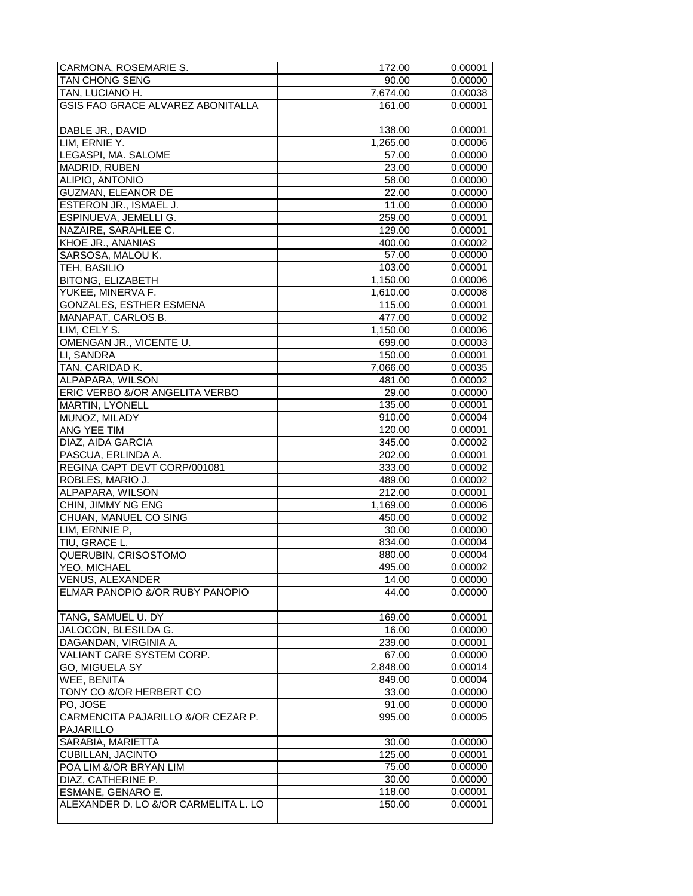| CARMONA, ROSEMARIE S.                | 172.00   | 0.00001 |
|--------------------------------------|----------|---------|
| TAN CHONG SENG                       | 90.00    | 0.00000 |
| TAN, LUCIANO H.                      | 7,674.00 | 0.00038 |
| GSIS FAO GRACE ALVAREZ ABONITALLA    | 161.00   | 0.00001 |
|                                      |          |         |
| DABLE JR., DAVID                     | 138.00   | 0.00001 |
| LIM, ERNIE Y.                        | 1,265.00 | 0.00006 |
| LEGASPI, MA. SALOME                  | 57.00    | 0.00000 |
| MADRID, RUBEN                        | 23.00    | 0.00000 |
| ALIPIO, ANTONIO                      | 58.00    | 0.00000 |
| <b>GUZMAN, ELEANOR DE</b>            | 22.00    | 0.00000 |
|                                      |          |         |
| ESTERON JR., ISMAEL J.               | 11.00    | 0.00000 |
| ESPINUEVA, JEMELLI G.                | 259.00   | 0.00001 |
| NAZAIRE, SARAHLEE C.                 | 129.00   | 0.00001 |
| KHOE JR., ANANIAS                    | 400.00   | 0.00002 |
| SARSOSA, MALOU K.                    | 57.00    | 0.00000 |
| TEH, BASILIO                         | 103.00   | 0.00001 |
| BITONG, ELIZABETH                    | 1,150.00 | 0.00006 |
| YUKEE, MINERVA F.                    | 1,610.00 | 0.00008 |
| GONZALES, ESTHER ESMENA              | 115.00   | 0.00001 |
| MANAPAT, CARLOS B.                   | 477.00   | 0.00002 |
| LIM, CELY S.                         | 1,150.00 | 0.00006 |
| OMENGAN JR., VICENTE U.              | 699.00   | 0.00003 |
| LI, SANDRA                           | 150.00   | 0.00001 |
| TAN, CARIDAD K.                      | 7,066.00 | 0.00035 |
| ALPAPARA, WILSON                     | 481.00   | 0.00002 |
| ERIC VERBO &/OR ANGELITA VERBO       | 29.00    | 0.00000 |
| <b>MARTIN, LYONELL</b>               | 135.00   | 0.00001 |
| MUNOZ, MILADY                        | 910.00   | 0.00004 |
| ANG YEE TIM                          | 120.00   | 0.00001 |
| DIAZ, AIDA GARCIA                    | 345.00   | 0.00002 |
| PASCUA, ERLINDA A.                   | 202.00   | 0.00001 |
| REGINA CAPT DEVT CORP/001081         | 333.00   | 0.00002 |
| ROBLES, MARIO J.                     | 489.00   | 0.00002 |
| ALPAPARA, WILSON                     | 212.00   | 0.00001 |
| CHIN, JIMMY NG ENG                   | 1,169.00 | 0.00006 |
| CHUAN, MANUEL CO SING                | 450.00   | 0.00002 |
|                                      |          |         |
| LIM, ERNNIE P,                       | 30.00    | 0.00000 |
| TIU, GRACE L.                        | 834.00   | 0.00004 |
| QUERUBIN, CRISOSTOMO                 | 880.00   | 0.00004 |
| YEO, MICHAEL                         | 495.00   | 0.00002 |
| <b>VENUS, ALEXANDER</b>              | 14.00    | 0.00000 |
| ELMAR PANOPIO &/OR RUBY PANOPIO      | 44.00    | 0.00000 |
| TANG, SAMUEL U. DY                   | 169.00   | 0.00001 |
| JALOCON, BLESILDA G.                 | 16.00    | 0.00000 |
| DAGANDAN, VIRGINIA A.                | 239.00   | 0.00001 |
| VALIANT CARE SYSTEM CORP.            | 67.00    | 0.00000 |
| GO, MIGUELA SY                       | 2,848.00 | 0.00014 |
| WEE, BENITA                          | 849.00   | 0.00004 |
| TONY CO &/OR HERBERT CO              | 33.00    |         |
|                                      |          | 0.00000 |
| PO, JOSE                             | 91.00    | 0.00000 |
| CARMENCITA PAJARILLO &/OR CEZAR P.   | 995.00   | 0.00005 |
| PAJARILLO                            |          |         |
| SARABIA, MARIETTA                    | 30.00    | 0.00000 |
| <b>CUBILLAN, JACINTO</b>             | 125.00   | 0.00001 |
| POA LIM &/OR BRYAN LIM               | 75.00    | 0.00000 |
| DIAZ, CATHERINE P.                   | 30.00    | 0.00000 |
| ESMANE, GENARO E.                    | 118.00   | 0.00001 |
| ALEXANDER D. LO &/OR CARMELITA L. LO | 150.00   | 0.00001 |
|                                      |          |         |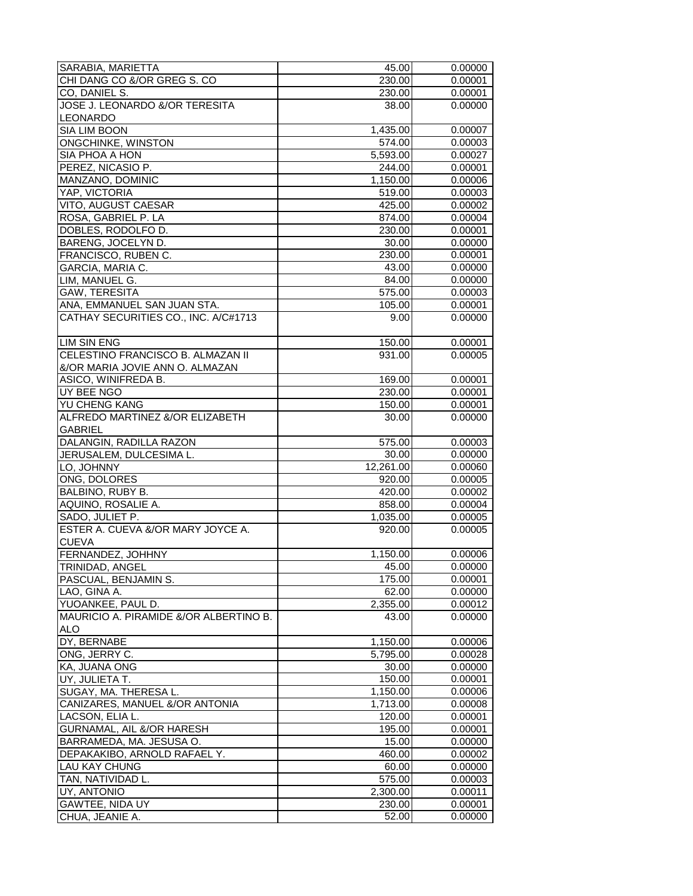| SARABIA, MARIETTA                        | 45.00                 | 0.00000 |
|------------------------------------------|-----------------------|---------|
| CHI DANG CO &/OR GREG S. CO              | 230.00                | 0.00001 |
| CO, DANIEL S.                            | 230.00                | 0.00001 |
| JOSE J. LEONARDO &/OR TERESITA           | 38.00                 | 0.00000 |
| LEONARDO                                 |                       |         |
| SIA LIM BOON                             | 1,435.00              | 0.00007 |
| ONGCHINKE, WINSTON                       | 574.00                | 0.00003 |
| SIA PHOA A HON                           | 5,593.00              | 0.00027 |
| PEREZ, NICASIO P.                        | 244.00                | 0.00001 |
| MANZANO, DOMINIC                         | 1,150.00              | 0.00006 |
| YAP, VICTORIA                            | 519.00                | 0.00003 |
|                                          |                       |         |
| VITO, AUGUST CAESAR                      | 425.00                | 0.00002 |
| ROSA, GABRIEL P. LA                      | 874.00                | 0.00004 |
| DOBLES, RODOLFO D.                       | 230.00                | 0.00001 |
| BARENG, JOCELYN D.                       | 30.00                 | 0.00000 |
| FRANCISCO, RUBEN C.                      | 230.00                | 0.00001 |
| GARCIA, MARIA C.                         | 43.00                 | 0.00000 |
| LIM, MANUEL G.                           | 84.00                 | 0.00000 |
| GAW, TERESITA                            | 575.00                | 0.00003 |
| ANA, EMMANUEL SAN JUAN STA.              | 105.00                | 0.00001 |
| CATHAY SECURITIES CO., INC. A/C#1713     | 9.00                  | 0.00000 |
|                                          |                       |         |
| <b>LIM SIN ENG</b>                       | 150.00                | 0.00001 |
| CELESTINO FRANCISCO B. ALMAZAN II        | 931.00                | 0.00005 |
| &/OR MARIA JOVIE ANN O. ALMAZAN          |                       |         |
| ASICO, WINIFREDA B.                      | 169.00                | 0.00001 |
| UY BEE NGO                               | 230.00                | 0.00001 |
| YU CHENG KANG                            | 150.00                | 0.00001 |
| ALFREDO MARTINEZ &/OR ELIZABETH          | 30.00                 | 0.00000 |
| <b>GABRIEL</b>                           |                       |         |
| DALANGIN, RADILLA RAZON                  | 575.00                | 0.00003 |
| JERUSALEM, DULCESIMA L.                  | 30.00                 | 0.00000 |
| LO, JOHNNY                               | 12,261.00             | 0.00060 |
| ONG, DOLORES                             | 920.00                | 0.00005 |
| BALBINO, RUBY B.                         | 420.00                | 0.00002 |
| AQUINO, ROSALIE A.                       | 858.00                | 0.00004 |
| SADO, JULIET P.                          | 1,035.00              | 0.00005 |
| ESTER A. CUEVA &/OR MARY JOYCE A.        | 920.00                | 0.00005 |
| <b>CUEVA</b>                             |                       |         |
| FERNANDEZ, JOHHNY                        | 1,150.00              | 0.00006 |
|                                          | 45.00                 |         |
| ITRINIDAD. ANGEL<br>PASCUAL, BENJAMIN S. |                       | 0.00000 |
|                                          | 175.00                | 0.00001 |
| LAO, GINA A.                             | 62.00                 | 0.00000 |
| YUOANKEE, PAUL D.                        | 2,355.00              | 0.00012 |
| MAURICIO A. PIRAMIDE &/OR ALBERTINO B.   | 43.00                 | 0.00000 |
| ALO                                      |                       |         |
| DY, BERNABE                              | $\overline{1,}150.00$ | 0.00006 |
| ONG, JERRY C.                            | 5,795.00              | 0.00028 |
| KA, JUANA ONG                            | 30.00                 | 0.00000 |
| UY, JULIETA T.                           | 150.00                | 0.00001 |
| SUGAY, MA. THERESA L.                    | 1,150.00              | 0.00006 |
| CANIZARES, MANUEL &/OR ANTONIA           | 1,713.00              | 0.00008 |
| LACSON, ELIA L.                          | 120.00                | 0.00001 |
| GURNAMAL, AIL &/OR HARESH                | 195.00                | 0.00001 |
| BARRAMEDA, MA. JESUSA O.                 | 15.00                 | 0.00000 |
| DEPAKAKIBO, ARNOLD RAFAEL Y.             | 460.00                | 0.00002 |
| LAU KAY CHUNG                            | 60.00                 | 0.00000 |
| TAN, NATIVIDAD L.                        | 575.00                | 0.00003 |
| UY, ANTONIO                              | 2,300.00              | 0.00011 |
| GAWTEE, NIDA UY                          | 230.00                | 0.00001 |
| CHUA, JEANIE A.                          | 52.00                 | 0.00000 |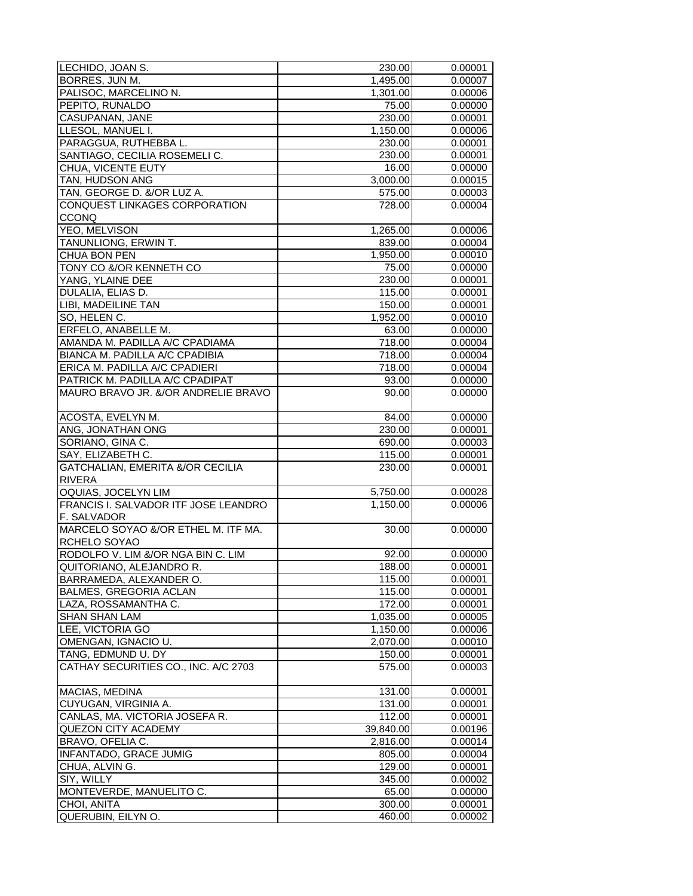| LECHIDO, JOAN S.                            | 230.00    | 0.00001 |
|---------------------------------------------|-----------|---------|
| BORRES, JUN M.                              | 1,495.00  | 0.00007 |
| PALISOC, MARCELINO N.                       | 1,301.00  | 0.00006 |
| PEPITO, RUNALDO                             | 75.00     | 0.00000 |
| CASUPANAN, JANE                             | 230.00    | 0.00001 |
| LLESOL, MANUEL I.                           | 1,150.00  | 0.00006 |
| PARAGGUA, RUTHEBBA L.                       | 230.00    | 0.00001 |
| SANTIAGO, CECILIA ROSEMELI C.               | 230.00    | 0.00001 |
| <b>CHUA, VICENTE EUTY</b>                   | 16.00     | 0.00000 |
| TAN, HUDSON ANG                             | 3,000.00  | 0.00015 |
|                                             |           |         |
| TAN, GEORGE D. &/OR LUZ A.                  | 575.00    | 0.00003 |
| CONQUEST LINKAGES CORPORATION               | 728.00    | 0.00004 |
| <b>CCONQ</b>                                |           |         |
| YEO, MELVISON                               | 1,265.00  | 0.00006 |
| TANUNLIONG, ERWIN T.                        | 839.00    | 0.00004 |
| CHUA BON PEN                                | 1,950.00  | 0.00010 |
| TONY CO &/OR KENNETH CO                     | 75.00     | 0.00000 |
| YANG, YLAINE DEE                            | 230.00    | 0.00001 |
| DULALIA, ELIAS D.                           | 115.00    | 0.00001 |
| LIBI, MADEILINE TAN                         | 150.00    | 0.00001 |
| SO, HELEN C.                                | 1,952.00  | 0.00010 |
| ERFELO, ANABELLE M.                         | 63.00     | 0.00000 |
| AMANDA M. PADILLA A/C CPADIAMA              | 718.00    | 0.00004 |
| BIANCA M. PADILLA A/C CPADIBIA              | 718.00    | 0.00004 |
| ERICA M. PADILLA A/C CPADIERI               | 718.00    | 0.00004 |
| PATRICK M. PADILLA A/C CPADIPAT             | 93.00     | 0.00000 |
| MAURO BRAVO JR. &/OR ANDRELIE BRAVO         | 90.00     | 0.00000 |
|                                             |           |         |
| ACOSTA, EVELYN M.                           | 84.00     | 0.00000 |
| ANG, JONATHAN ONG                           | 230.00    | 0.00001 |
| SORIANO, GINA C.                            | 690.00    | 0.00003 |
| SAY, ELIZABETH C.                           | 115.00    | 0.00001 |
| <b>GATCHALIAN, EMERITA &amp;/OR CECILIA</b> | 230.00    | 0.00001 |
| <b>RIVERA</b>                               |           |         |
| OQUIAS, JOCELYN LIM                         |           |         |
| FRANCIS I. SALVADOR ITF JOSE LEANDRO        | 5,750.00  | 0.00028 |
|                                             | 1,150.00  | 0.00006 |
| F. SALVADOR                                 |           |         |
| MARCELO SOYAO &/OR ETHEL M. ITF MA.         | 30.00     | 0.00000 |
| RCHELO SOYAO                                |           |         |
| RODOLFO V. LIM &/OR NGA BIN C. LIM          | 92.00     | 0.00000 |
| QUITORIANO, ALEJANDRO R                     | 188.00    | 0.00001 |
| BARRAMEDA, ALEXANDER O.                     | 115.00    | 0.00001 |
| <b>BALMES, GREGORIA ACLAN</b>               | 115.00    | 0.00001 |
| LAZA, ROSSAMANTHA C.                        | 172.00    | 0.00001 |
| <b>SHAN SHAN LAM</b>                        | 1,035.00  | 0.00005 |
| LEE, VICTORIA GO                            | 1,150.00  | 0.00006 |
| OMENGAN, IGNACIO U.                         | 2,070.00  | 0.00010 |
| TANG, EDMUND U. DY                          | 150.00    | 0.00001 |
| CATHAY SECURITIES CO., INC. A/C 2703        | 575.00    | 0.00003 |
|                                             |           |         |
| <b>MACIAS, MEDINA</b>                       | 131.00    | 0.00001 |
| CUYUGAN, VIRGINIA A.                        | 131.00    | 0.00001 |
| CANLAS, MA. VICTORIA JOSEFA R.              | 112.00    | 0.00001 |
| QUEZON CITY ACADEMY                         | 39,840.00 | 0.00196 |
| BRAVO, OFELIA C.                            | 2,816.00  | 0.00014 |
| <b>INFANTADO, GRACE JUMIG</b>               | 805.00    | 0.00004 |
| CHUA, ALVIN G.                              | 129.00    | 0.00001 |
| SIY, WILLY                                  |           |         |
|                                             | 345.00    | 0.00002 |
| MONTEVERDE, MANUELITO C.                    | 65.00     | 0.00000 |
| CHOI, ANITA                                 | 300.00    | 0.00001 |
| QUERUBIN, EILYN O.                          | 460.00    | 0.00002 |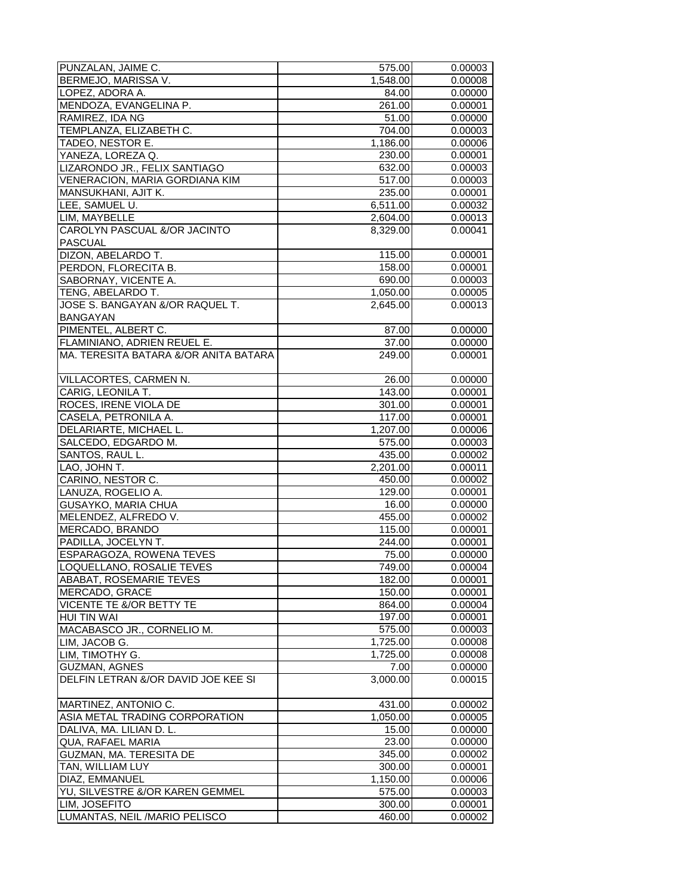| PUNZALAN, JAIME C.                    | 575.00   | 0.00003 |
|---------------------------------------|----------|---------|
| BERMEJO, MARISSA V.                   | 1,548.00 | 0.00008 |
| LOPEZ, ADORA A.                       | 84.00    | 0.00000 |
| MENDOZA, EVANGELINA P.                | 261.00   | 0.00001 |
| RAMIREZ, IDA NG                       | 51.00    | 0.00000 |
| TEMPLANZA, ELIZABETH C.               | 704.00   | 0.00003 |
| TADEO, NESTOR E.                      | 1,186.00 | 0.00006 |
| YANEZA, LOREZA Q.                     | 230.00   | 0.00001 |
| LIZARONDO JR., FELIX SANTIAGO         | 632.00   | 0.00003 |
|                                       | 517.00   |         |
| VENERACION, MARIA GORDIANA KIM        |          | 0.00003 |
| MANSUKHANI, AJIT K.                   | 235.00   | 0.00001 |
| LEE, SAMUEL U.                        | 6,511.00 | 0.00032 |
| LIM, MAYBELLE                         | 2,604.00 | 0.00013 |
| CAROLYN PASCUAL &/OR JACINTO          | 8,329.00 | 0.00041 |
| <b>PASCUAL</b>                        |          |         |
| DIZON, ABELARDO T.                    | 115.00   | 0.00001 |
| PERDON, FLORECITA B.                  | 158.00   | 0.00001 |
| SABORNAY, VICENTE A.                  | 690.00   | 0.00003 |
| TENG, ABELARDO T.                     | 1,050.00 | 0.00005 |
| JOSE S. BANGAYAN &/OR RAQUEL T.       | 2,645.00 | 0.00013 |
| <b>BANGAYAN</b>                       |          |         |
| PIMENTEL, ALBERT C.                   | 87.00    | 0.00000 |
| FLAMINIANO, ADRIEN REUEL E.           | 37.00    | 0.00000 |
| MA. TERESITA BATARA &/OR ANITA BATARA | 249.00   | 0.00001 |
|                                       |          |         |
| VILLACORTES, CARMEN N.                | 26.00    | 0.00000 |
| CARIG, LEONILA T.                     | 143.00   | 0.00001 |
| ROCES, IRENE VIOLA DE                 | 301.00   | 0.00001 |
|                                       |          |         |
| CASELA, PETRONILA A.                  | 117.00   | 0.00001 |
| DELARIARTE, MICHAEL L.                | 1,207.00 | 0.00006 |
| SALCEDO, EDGARDO M.                   | 575.00   | 0.00003 |
| SANTOS, RAUL L.                       | 435.00   | 0.00002 |
| LAO, JOHN T.                          | 2,201.00 | 0.00011 |
| CARINO, NESTOR C.                     | 450.00   | 0.00002 |
| LANUZA, ROGELIO A.                    | 129.00   | 0.00001 |
| GUSAYKO, MARIA CHUA                   | 16.00    | 0.00000 |
| MELENDEZ, ALFREDO V.                  | 455.00   | 0.00002 |
| MERCADO, BRANDO                       | 115.00   | 0.00001 |
| PADILLA, JOCELYN T.                   | 244.00   | 0.00001 |
| ESPARAGOZA, ROWENA TEVES              | 75.00    | 0.00000 |
| ILOQUELLANO. ROSALIE TEVES            | 749.00   | 0.00004 |
| ABABAT, ROSEMARIE TEVES               | 182.00   | 0.00001 |
| MERCADO, GRACE                        | 150.00   | 0.00001 |
| VICENTE TE &/OR BETTY TE              | 864.00   | 0.00004 |
| <b>HUI TIN WAI</b>                    | 197.00   | 0.00001 |
| MACABASCO JR., CORNELIO M.            | 575.00   | 0.00003 |
| LIM, JACOB G.                         | 1,725.00 | 0.00008 |
| LIM, TIMOTHY G.                       | 1,725.00 | 0.00008 |
| <b>GUZMAN, AGNES</b>                  |          |         |
|                                       | 7.00     | 0.00000 |
| DELFIN LETRAN &/OR DAVID JOE KEE SI   | 3,000.00 | 0.00015 |
| MARTINEZ, ANTONIO C.                  | 431.00   | 0.00002 |
| ASIA METAL TRADING CORPORATION        | 1,050.00 | 0.00005 |
| DALIVA, MA. LILIAN D. L.              | 15.00    | 0.00000 |
| QUA, RAFAEL MARIA                     | 23.00    | 0.00000 |
| GUZMAN, MA. TERESITA DE               | 345.00   | 0.00002 |
| TAN, WILLIAM LUY                      | 300.00   | 0.00001 |
| DIAZ, EMMANUEL                        | 1,150.00 | 0.00006 |
|                                       |          |         |
| YU, SILVESTRE &/OR KAREN GEMMEL       | 575.00   | 0.00003 |
| LIM, JOSEFITO                         | 300.00   | 0.00001 |
| LUMANTAS, NEIL /MARIO PELISCO         | 460.00   | 0.00002 |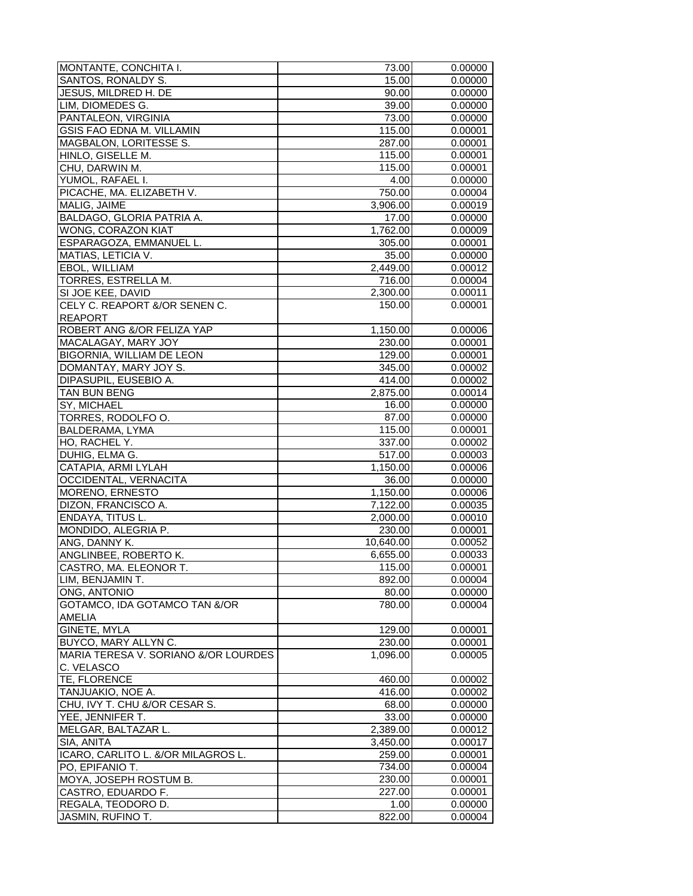| MONTANTE, CONCHITA I.                | 73.00     | 0.00000 |
|--------------------------------------|-----------|---------|
| SANTOS, RONALDY S.                   | 15.00     | 0.00000 |
| JESUS, MILDRED H. DE                 | 90.00     | 0.00000 |
| LIM, DIOMEDES G.                     | 39.00     | 0.00000 |
| PANTALEON, VIRGINIA                  | 73.00     | 0.00000 |
| GSIS FAO EDNA M. VILLAMIN            | 115.00    | 0.00001 |
| MAGBALON, LORITESSE S.               | 287.00    | 0.00001 |
| HINLO, GISELLE M.                    | 115.00    | 0.00001 |
| CHU, DARWIN M.                       | 115.00    | 0.00001 |
| YUMOL, RAFAEL I.                     | 4.00      | 0.00000 |
| PICACHE, MA. ELIZABETH V.            | 750.00    | 0.00004 |
| MALIG, JAIME                         | 3,906.00  | 0.00019 |
| BALDAGO, GLORIA PATRIA A.            |           |         |
|                                      | 17.00     | 0.00000 |
| WONG, CORAZON KIAT                   | 1,762.00  | 0.00009 |
| ESPARAGOZA, EMMANUEL L.              | 305.00    | 0.00001 |
| MATIAS, LETICIA V.                   | 35.00     | 0.00000 |
| EBOL, WILLIAM                        | 2,449.00  | 0.00012 |
| TORRES, ESTRELLA M.                  | 716.00    | 0.00004 |
| SI JOE KEE, DAVID                    | 2,300.00  | 0.00011 |
| CELY C. REAPORT &/OR SENEN C.        | 150.00    | 0.00001 |
| <b>REAPORT</b>                       |           |         |
| ROBERT ANG &/OR FELIZA YAP           | 1,150.00  | 0.00006 |
| MACALAGAY, MARY JOY                  | 230.00    | 0.00001 |
| BIGORNIA, WILLIAM DE LEON            | 129.00    | 0.00001 |
| DOMANTAY, MARY JOY S.                | 345.00    | 0.00002 |
| DIPASUPIL, EUSEBIO A.                | 414.00    | 0.00002 |
| TAN BUN BENG                         | 2,875.00  | 0.00014 |
| SY, MICHAEL                          | 16.00     | 0.00000 |
| TORRES, RODOLFO O.                   | 87.00     | 0.00000 |
| BALDERAMA, LYMA                      | 115.00    | 0.00001 |
| HO, RACHEL Y.                        | 337.00    | 0.00002 |
| DUHIG, ELMA G.                       | 517.00    | 0.00003 |
| CATAPIA, ARMI LYLAH                  | 1,150.00  | 0.00006 |
| OCCIDENTAL, VERNACITA                | 36.00     | 0.00000 |
| MORENO, ERNESTO                      | 1,150.00  | 0.00006 |
| DIZON, FRANCISCO A.                  | 7,122.00  | 0.00035 |
| ENDAYA, TITUS L.                     | 2,000.00  | 0.00010 |
| MONDIDO, ALEGRIA P.                  | 230.00    | 0.00001 |
| ANG, DANNY K.                        | 10,640.00 | 0.00052 |
| ANGLINBEE, ROBERTO K.                | 6,655.00  | 0.00033 |
| CASTRO. MA. ELEONOR T.               | 115.00    | 0.00001 |
| LIM, BENJAMIN T.                     | 892.00    | 0.00004 |
| ONG, ANTONIO                         | 80.00     | 0.00000 |
| GOTAMCO, IDA GOTAMCO TAN &/OR        | 780.00    | 0.00004 |
| <b>AMELIA</b>                        |           |         |
| GINETE, MYLA                         | 129.00    | 0.00001 |
| BUYCO, MARY ALLYN C.                 | 230.00    | 0.00001 |
| MARIA TERESA V. SORIANO &/OR LOURDES |           |         |
| C. VELASCO                           | 1,096.00  | 0.00005 |
|                                      | 460.00    | 0.00002 |
| TE, FLORENCE                         |           |         |
| TANJUAKIO, NOE A.                    | 416.00    | 0.00002 |
| CHU, IVY T. CHU &/OR CESAR S.        | 68.00     | 0.00000 |
| YEE, JENNIFER T.                     | 33.00     | 0.00000 |
| MELGAR, BALTAZAR L.                  | 2,389.00  | 0.00012 |
| SIA, ANITA                           | 3,450.00  | 0.00017 |
| ICARO, CARLITO L. &/OR MILAGROS L.   | 259.00    | 0.00001 |
| PO, EPIFANIO T.                      | 734.00    | 0.00004 |
| MOYA, JOSEPH ROSTUM B.               | 230.00    | 0.00001 |
| CASTRO, EDUARDO F.                   | 227.00    | 0.00001 |
| REGALA, TEODORO D.                   | 1.00      | 0.00000 |
| JASMIN, RUFINO T.                    | 822.00    | 0.00004 |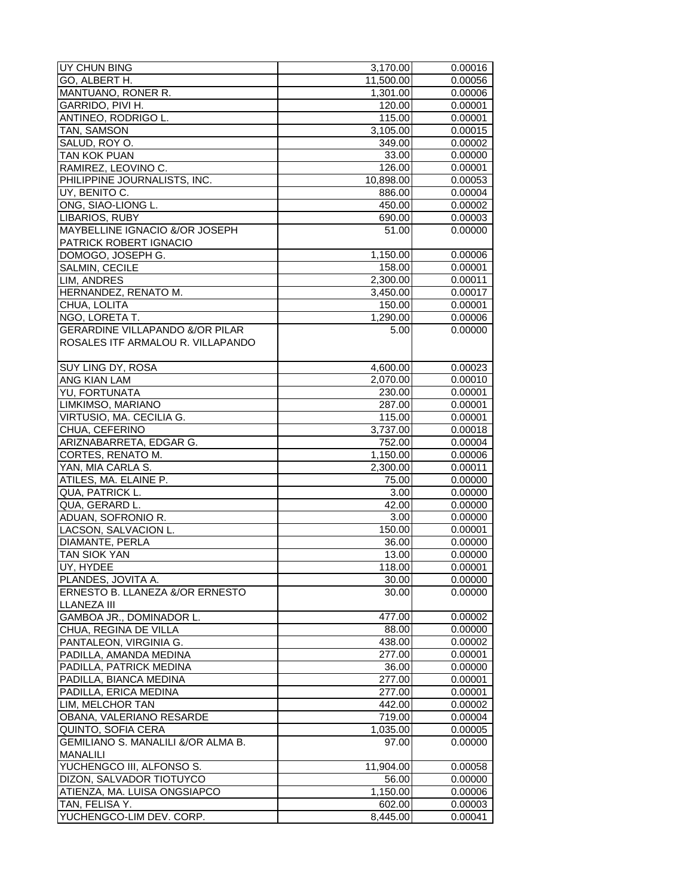| UY CHUN BING                               | 3,170.00              | 0.00016 |
|--------------------------------------------|-----------------------|---------|
| GO, ALBERT H.                              | 11,500.00             | 0.00056 |
| MANTUANO, RONER R.                         | 1,301.00              | 0.00006 |
| GARRIDO, PIVI H.                           | 120.00                | 0.00001 |
| ANTINEO, RODRIGO L.                        | 115.00                | 0.00001 |
| TAN, SAMSON                                | 3,105.00              | 0.00015 |
| SALUD, ROY O.                              | 349.00                | 0.00002 |
| <b>TAN KOK PUAN</b>                        | 33.00                 | 0.00000 |
| RAMIREZ, LEOVINO C.                        | 126.00                | 0.00001 |
| PHILIPPINE JOURNALISTS, INC.               | 10.898.00             | 0.00053 |
| UY, BENITO C.                              | 886.00                | 0.00004 |
| ONG, SIAO-LIONG L.                         | 450.00                | 0.00002 |
| LIBARIOS, RUBY                             | 690.00                | 0.00003 |
| MAYBELLINE IGNACIO &/OR JOSEPH             | $\overline{5}1.00$    | 0.00000 |
| PATRICK ROBERT IGNACIO                     |                       |         |
| DOMOGO, JOSEPH G.                          | 1,150.00              | 0.00006 |
| <b>SALMIN, CECILE</b>                      | 158.00                | 0.00001 |
| LIM, ANDRES                                | 2,300.00              | 0.00011 |
| HERNANDEZ, RENATO M.                       | $\overline{3,}450.00$ | 0.00017 |
| CHUA, LOLITA                               | 150.00                | 0.00001 |
| NGO, LORETA T.                             | 1,290.00              | 0.00006 |
| <b>GERARDINE VILLAPANDO &amp;/OR PILAR</b> | 5.00                  | 0.00000 |
| ROSALES ITF ARMALOU R. VILLAPANDO          |                       |         |
| SUY LING DY, ROSA                          | 4,600.00              | 0.00023 |
| ANG KIAN LAM                               | 2,070.00              | 0.00010 |
| YU, FORTUNATA                              | 230.00                | 0.00001 |
| LIMKIMSO, MARIANO                          | 287.00                | 0.00001 |
| VIRTUSIO, MA. CECILIA G.                   | 115.00                | 0.00001 |
| CHUA, CEFERINO                             | 3,737.00              | 0.00018 |
| ARIZNABARRETA, EDGAR G.                    | 752.00                | 0.00004 |
| CORTES, RENATO M.                          | 1,150.00              | 0.00006 |
| YAN, MIA CARLA S.                          | 2,300.00              | 0.00011 |
| ATILES, MA. ELAINE P.                      | 75.00                 | 0.00000 |
| QUA, PATRICK L.                            | 3.00                  | 0.00000 |
| QUA, GERARD L.                             | 42.00                 | 0.00000 |
| ADUAN, SOFRONIO R.                         | 3.00                  | 0.00000 |
| LACSON, SALVACION L.                       | 150.00                | 0.00001 |
| DIAMANTE, PERLA                            | 36.00                 | 0.00000 |
| <b>TAN SIOK YAN</b>                        | 13.00                 | 0.00000 |
| UY, HYDEE                                  | 118.00                | 0.00001 |
| PLANDES, JOVITA A.                         | 30.00                 | 0.00000 |
| ERNESTO B. LLANEZA &/OR ERNESTO            | 30.00                 | 0.00000 |
| <b>LLANEZA III</b>                         |                       |         |
| GAMBOA JR., DOMINADOR L.                   | 477.00                | 0.00002 |
| CHUA, REGINA DE VILLA                      | 88.00                 | 0.00000 |
| PANTALEON, VIRGINIA G.                     | 438.00                | 0.00002 |
| PADILLA, AMANDA MEDINA                     | 277.00                | 0.00001 |
| PADILLA, PATRICK MEDINA                    | 36.00                 | 0.00000 |
| PADILLA, BIANCA MEDINA                     | 277.00                | 0.00001 |
| PADILLA, ERICA MEDINA                      | 277.00                | 0.00001 |
| LIM, MELCHOR TAN                           | 442.00                | 0.00002 |
| OBANA, VALERIANO RESARDE                   | 719.00                | 0.00004 |
| QUINTO, SOFIA CERA                         | 1,035.00              | 0.00005 |
| GEMILIANO S. MANALILI &/OR ALMA B.         | 97.00                 | 0.00000 |
| MANALILI                                   |                       |         |
| YUCHENGCO III, ALFONSO S.                  | 11,904.00             | 0.00058 |
| DIZON, SALVADOR TIOTUYCO                   | 56.00                 | 0.00000 |
| ATIENZA, MA. LUISA ONGSIAPCO               | 1,150.00              | 0.00006 |
| TAN, FELISA Y.                             | 602.00                | 0.00003 |
| YUCHENGCO-LIM DEV. CORP.                   | 8,445.00              | 0.00041 |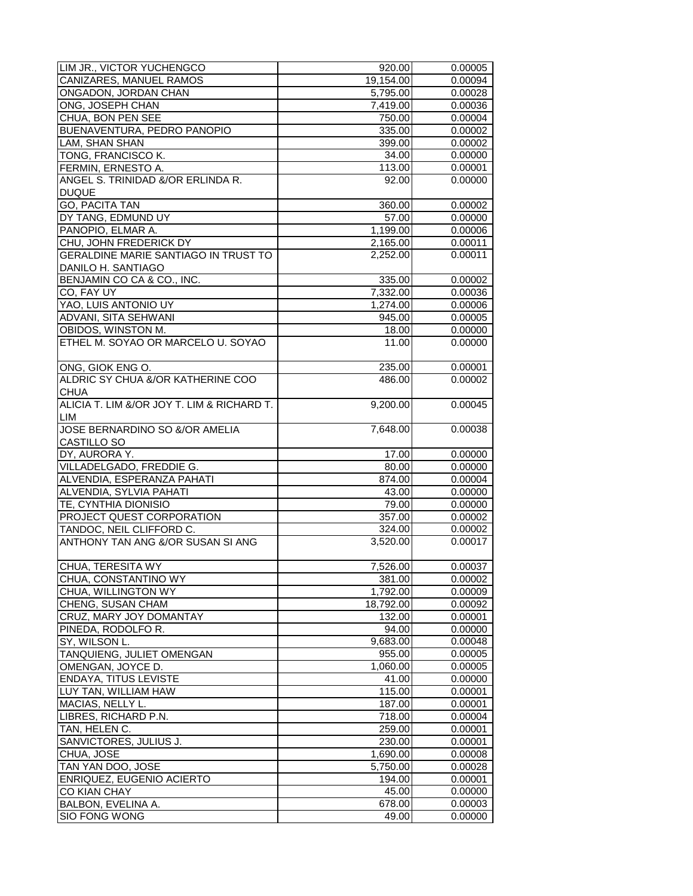| LIM JR., VICTOR YUCHENGCO                  | 920.00    | 0.00005 |
|--------------------------------------------|-----------|---------|
| CANIZARES, MANUEL RAMOS                    | 19,154.00 | 0.00094 |
| ONGADON, JORDAN CHAN                       | 5,795.00  | 0.00028 |
| ONG, JOSEPH CHAN                           | 7.419.00  | 0.00036 |
| CHUA, BON PEN SEE                          | 750.00    | 0.00004 |
| BUENAVENTURA, PEDRO PANOPIO                | 335.00    | 0.00002 |
| LAM, SHAN SHAN                             | 399.00    | 0.00002 |
| TONG, FRANCISCO K.                         | 34.00     | 0.00000 |
| FERMIN, ERNESTO A.                         | 113.00    | 0.00001 |
| ANGEL S. TRINIDAD &/OR ERLINDA R.          | 92.00     | 0.00000 |
| <b>DUQUE</b>                               |           |         |
| <b>GO, PACITA TAN</b>                      |           |         |
|                                            | 360.00    | 0.00002 |
| DY TANG, EDMUND UY                         | 57.00     | 0.00000 |
| PANOPIO, ELMAR A.                          | 1,199.00  | 0.00006 |
| CHU, JOHN FREDERICK DY                     | 2,165.00  | 0.00011 |
| GERALDINE MARIE SANTIAGO IN TRUST TO       | 2,252.00  | 0.00011 |
| DANILO H. SANTIAGO                         |           |         |
| BENJAMIN CO CA & CO., INC.                 | 335.00    | 0.00002 |
| CO, FAY UY                                 | 7,332.00  | 0.00036 |
| YAO, LUIS ANTONIO UY                       | 1,274.00  | 0.00006 |
| ADVANI, SITA SEHWANI                       | 945.00    | 0.00005 |
| OBIDOS, WINSTON M.                         | 18.00     | 0.00000 |
| ETHEL M. SOYAO OR MARCELO U. SOYAO         | 11.00     | 0.00000 |
| ONG, GIOK ENG O.                           | 235.00    | 0.00001 |
| ALDRIC SY CHUA &/OR KATHERINE COO          | 486.00    | 0.00002 |
| <b>CHUA</b>                                |           |         |
| ALICIA T. LIM &/OR JOY T. LIM & RICHARD T. | 9,200.00  | 0.00045 |
|                                            |           |         |
| LIM                                        |           |         |
| JOSE BERNARDINO SO &/OR AMELIA             | 7,648.00  | 0.00038 |
| CASTILLO SO                                |           |         |
| DY, AURORA Y.                              | 17.00     | 0.00000 |
| VILLADELGADO, FREDDIE G.                   | 80.00     | 0.00000 |
| ALVENDIA, ESPERANZA PAHATI                 | 874.00    | 0.00004 |
| ALVENDIA, SYLVIA PAHATI                    | 43.00     | 0.00000 |
| TE, CYNTHIA DIONISIO                       | 79.00     | 0.00000 |
| PROJECT QUEST CORPORATION                  | 357.00    | 0.00002 |
| TANDOC, NEIL CLIFFORD C.                   | 324.00    | 0.00002 |
| ANTHONY TAN ANG &/OR SUSAN SI ANG          | 3,520.00  | 0.00017 |
| ICHUA. TERESITA WY                         | 7.526.00  | 0.00037 |
| CHUA, CONSTANTINO WY                       | 381.00    | 0.00002 |
| CHUA, WILLINGTON WY                        | 1,792.00  | 0.00009 |
| CHENG, SUSAN CHAM                          | 18,792.00 | 0.00092 |
| CRUZ, MARY JOY DOMANTAY                    | 132.00    | 0.00001 |
| PINEDA, RODOLFO R.                         | 94.00     | 0.00000 |
| SY, WILSON L.                              | 9,683.00  | 0.00048 |
| TANQUIENG, JULIET OMENGAN                  | 955.00    | 0.00005 |
| OMENGAN, JOYCE D.                          | 1,060.00  | 0.00005 |
| <b>ENDAYA, TITUS LEVISTE</b>               | 41.00     | 0.00000 |
| LUY TAN, WILLIAM HAW                       | 115.00    | 0.00001 |
|                                            |           |         |
| MACIAS, NELLY L.                           | 187.00    | 0.00001 |
| LIBRES, RICHARD P.N.                       | 718.00    | 0.00004 |
| TAN, HELEN C.                              | 259.00    | 0.00001 |
| SANVICTORES, JULIUS J.                     | 230.00    | 0.00001 |
| CHUA, JOSE                                 | 1,690.00  | 0.00008 |
| TAN YAN DOO, JOSE                          | 5,750.00  | 0.00028 |
| ENRIQUEZ, EUGENIO ACIERTO                  | 194.00    | 0.00001 |
| CO KIAN CHAY                               | 45.00     | 0.00000 |
| BALBON, EVELINA A.                         | 678.00    | 0.00003 |
| <b>SIO FONG WONG</b>                       | 49.00     | 0.00000 |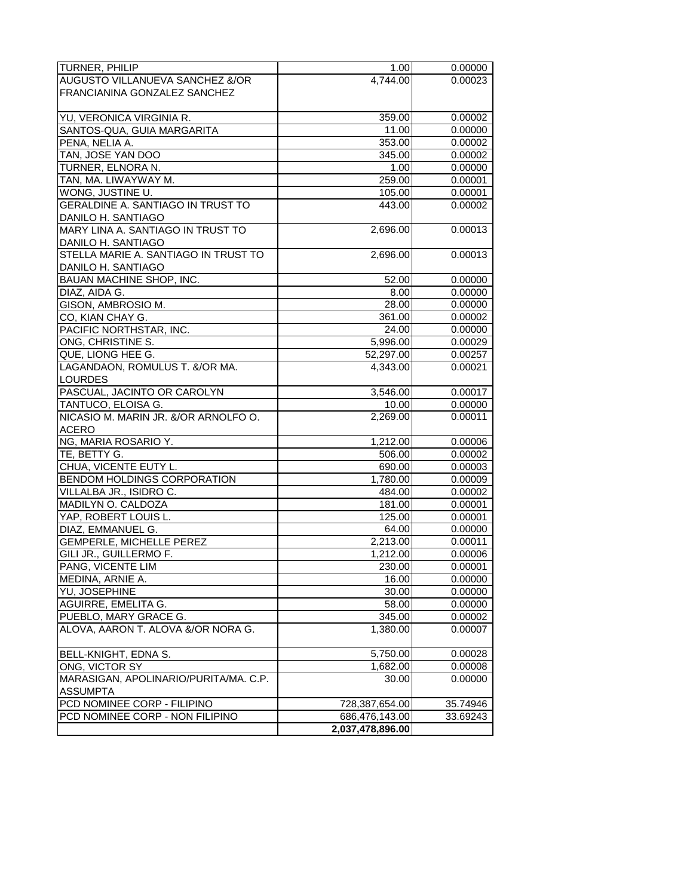| <b>TURNER, PHILIP</b>                    | 1.00             | 0.00000  |
|------------------------------------------|------------------|----------|
| AUGUSTO VILLANUEVA SANCHEZ &/OR          | 4,744.00         | 0.00023  |
|                                          |                  |          |
| FRANCIANINA GONZALEZ SANCHEZ             |                  |          |
|                                          |                  |          |
| YU, VERONICA VIRGINIA R.                 | 359.00           | 0.00002  |
| SANTOS-QUA, GUIA MARGARITA               | 11.00            | 0.00000  |
| PENA, NELIA A.                           | 353.00           | 0.00002  |
| TAN, JOSE YAN DOO                        | 345.00           | 0.00002  |
| TURNER, ELNORA N.                        | 1.00             | 0.00000  |
| TAN, MA. LIWAYWAY M.                     | 259.00           | 0.00001  |
| WONG, JUSTINE U.                         | 105.00           | 0.00001  |
| <b>GERALDINE A. SANTIAGO IN TRUST TO</b> | 443.00           | 0.00002  |
| DANILO H. SANTIAGO                       |                  |          |
| MARY LINA A. SANTIAGO IN TRUST TO        | 2,696.00         | 0.00013  |
| DANILO H. SANTIAGO                       |                  |          |
| STELLA MARIE A. SANTIAGO IN TRUST TO     | 2,696.00         | 0.00013  |
| DANILO H. SANTIAGO                       |                  |          |
| BAUAN MACHINE SHOP, INC.                 | 52.00            |          |
|                                          |                  | 0.00000  |
| DIAZ, AIDA G.                            | 8.00             | 0.00000  |
| GISON, AMBROSIO M.                       | 28.00            | 0.00000  |
| CO, KIAN CHAY G.                         | 361.00           | 0.00002  |
| PACIFIC NORTHSTAR, INC.                  | 24.00            | 0.00000  |
| ONG, CHRISTINE S.                        | 5,996.00         | 0.00029  |
| QUE, LIONG HEE G.                        | 52,297.00        | 0.00257  |
| LAGANDAON, ROMULUS T. &/OR MA.           | 4,343.00         | 0.00021  |
| <b>LOURDES</b>                           |                  |          |
| PASCUAL, JACINTO OR CAROLYN              | 3,546.00         | 0.00017  |
| TANTUCO, ELOISA G.                       | 10.00            | 0.00000  |
| NICASIO M. MARIN JR. &/OR ARNOLFO O.     | 2,269.00         | 0.00011  |
| <b>ACERO</b>                             |                  |          |
| NG, MARIA ROSARIO Y.                     | 1,212.00         | 0.00006  |
| TE, BETTY G.                             | 506.00           | 0.00002  |
| CHUA, VICENTE EUTY L.                    | 690.00           | 0.00003  |
| <b>BENDOM HOLDINGS CORPORATION</b>       | 1,780.00         | 0.00009  |
| VILLALBA JR., ISIDRO C.                  | 484.00           | 0.00002  |
| MADILYN O. CALDOZA                       | 181.00           | 0.00001  |
| YAP, ROBERT LOUIS L.                     | 125.00           | 0.00001  |
| DIAZ, EMMANUEL G.                        | 64.00            | 0.00000  |
| GEMPERLE, MICHELLE PEREZ                 | 2,213.00         | 0.00011  |
| GILI JR., GUILLERMO F.                   | 1,212.00         | 0.00006  |
| PANG, VICENTE LIM                        | 230.00           | 0.00001  |
|                                          |                  | 0.00000  |
| MEDINA, ARNIE A.<br>YU, JOSEPHINE        | 16.00            |          |
|                                          | 30.00            | 0.00000  |
| AGUIRRE, EMELITA G.                      | 58.00            | 0.00000  |
| PUEBLO, MARY GRACE G.                    | 345.00           | 0.00002  |
| ALOVA, AARON T. ALOVA &/OR NORA G.       | 1,380.00         | 0.00007  |
| BELL-KNIGHT, EDNA S.                     | 5,750.00         | 0.00028  |
| ONG. VICTOR SY                           | 1,682.00         | 0.00008  |
| MARASIGAN, APOLINARIO/PURITA/MA. C.P.    | 30.00            | 0.00000  |
| <b>ASSUMPTA</b>                          |                  |          |
| PCD NOMINEE CORP - FILIPINO              | 728,387,654.00   | 35.74946 |
| PCD NOMINEE CORP - NON FILIPINO          | 686,476,143.00   | 33.69243 |
|                                          | 2,037,478,896.00 |          |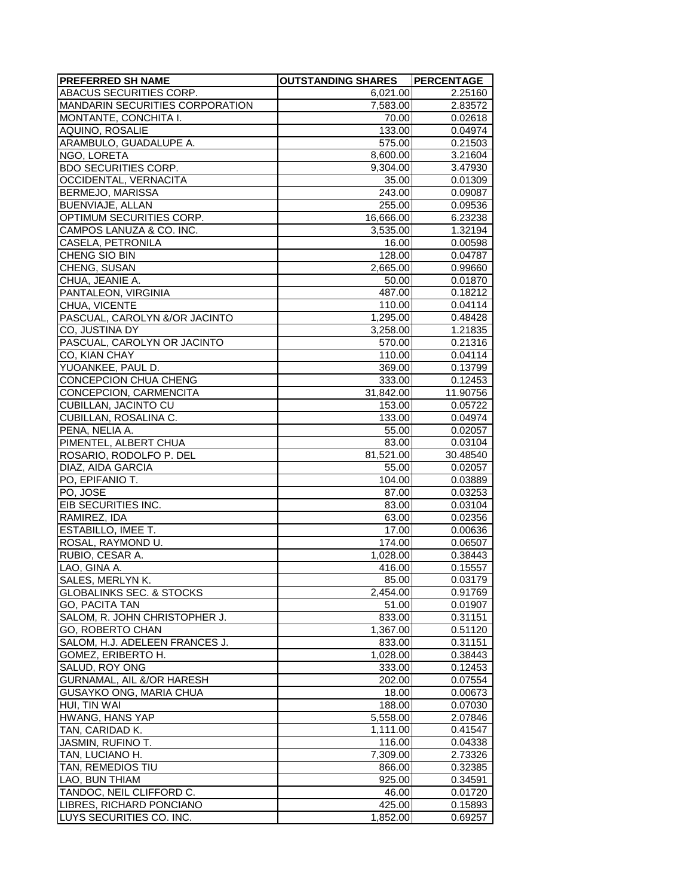| <b>PREFERRED SH NAME</b>                             | <b>OUTSTANDING SHARES</b> | PERCENTAGE         |
|------------------------------------------------------|---------------------------|--------------------|
| ABACUS SECURITIES CORP.                              | 6,021.00                  | 2.25160            |
| MANDARIN SECURITIES CORPORATION                      | 7,583.00                  | 2.83572            |
| MONTANTE, CONCHITA I.                                | 70.00                     | 0.02618            |
| AQUINO, ROSALIE                                      | 133.00                    | 0.04974            |
| ARAMBULO, GUADALUPE A.                               | 575.00                    | 0.21503            |
| NGO, LORETA                                          | 8,600.00                  | 3.21604            |
| BDO SECURITIES CORP.                                 | 9,304.00                  | 3.47930            |
| OCCIDENTAL, VERNACITA                                | 35.00                     | 0.01309            |
| <b>BERMEJO, MARISSA</b>                              | 243.00                    | 0.09087            |
| BUENVIAJE, ALLAN                                     | 255.00                    | 0.09536            |
| OPTIMUM SECURITIES CORP.                             | 16,666.00                 | 6.23238            |
| CAMPOS LANUZA & CO. INC.                             | 3,535.00                  | 1.32194            |
| CASELA, PETRONILA                                    | 16.00                     | 0.00598            |
| CHENG SIO BIN                                        | 128.00                    | 0.04787            |
| CHENG, SUSAN                                         | 2,665.00                  | 0.99660            |
| CHUA, JEANIE A.                                      | 50.00                     | 0.01870            |
| PANTALEON, VIRGINIA                                  | 487.00                    | 0.18212            |
| CHUA, VICENTE                                        | 110.00                    | 0.04114            |
| PASCUAL, CAROLYN &/OR JACINTO                        | 1,295.00                  | 0.48428            |
| CO, JUSTINA DY                                       | 3,258.00                  | 1.21835            |
| PASCUAL, CAROLYN OR JACINTO                          | 570.00                    | 0.21316            |
| CO, KIAN CHAY                                        | 110.00                    | 0.04114            |
| YUOANKEE, PAUL D.                                    | 369.00                    | 0.13799            |
| CONCEPCION CHUA CHENG                                | 333.00                    | 0.12453            |
| CONCEPCION, CARMENCITA                               | 31,842.00                 | 11.90756           |
| CUBILLAN, JACINTO CU                                 | 153.00                    | 0.05722            |
| CUBILLAN, ROSALINA C.                                | 133.00                    | 0.04974            |
| PENA, NELIA A.                                       | 55.00                     | 0.02057            |
| PIMENTEL, ALBERT CHUA                                | 83.00                     | 0.03104            |
| ROSARIO, RODOLFO P. DEL                              | 81,521.00                 | 30.48540           |
| DIAZ, AIDA GARCIA                                    | 55.00                     | 0.02057            |
| PO, EPIFANIO T.                                      | 104.00                    | 0.03889            |
| PO, JOSE                                             | 87.00                     | 0.03253            |
| EIB SECURITIES INC.                                  | 83.00                     | 0.03104            |
| RAMIREZ, IDA                                         | 63.00                     | 0.02356            |
| ESTABILLO, IMEE T.                                   | 17.00                     | 0.00636            |
| ROSAL, RAYMOND U.                                    | 174.00                    | 0.06507            |
| RUBIO, CESAR A.                                      | 1,028.00                  | 0.38443            |
| LAO, GINA A.                                         | 416.00                    | 0.15557            |
| SALES, MERLYN K.                                     | 85.00                     | 0.03179            |
| <b>GLOBALINKS SEC. &amp; STOCKS</b>                  | $\overline{2,}454.00$     | 0.91769            |
| GO, PACITA TAN                                       | 51.00                     | 0.01907            |
| SALOM, R. JOHN CHRISTOPHER J.                        | 833.00                    | 0.31151            |
| GO, ROBERTO CHAN                                     | 1,367.00                  | 0.51120            |
| SALOM, H.J. ADELEEN FRANCES J.<br>GOMEZ, ERIBERTO H. | 833.00                    | 0.31151            |
| SALUD, ROY ONG                                       | 1,028.00                  | 0.38443            |
| GURNAMAL, AIL &/OR HARESH                            | 333.00<br>202.00          | 0.12453            |
| GUSAYKO ONG. MARIA CHUA                              | 18.00                     | 0.07554<br>0.00673 |
| HUI, TIN WAI                                         | 188.00                    | 0.07030            |
| HWANG, HANS YAP                                      | 5,558.00                  | 2.07846            |
| TAN, CARIDAD K.                                      | 1,111.00                  | 0.41547            |
| JASMIN, RUFINO T.                                    | 116.00                    | 0.04338            |
| TAN, LUCIANO H.                                      | 7,309.00                  | 2.73326            |
| TAN, REMEDIOS TIU                                    | 866.00                    | 0.32385            |
| LAO, BUN THIAM                                       | 925.00                    | 0.34591            |
| TANDOC, NEIL CLIFFORD C.                             | 46.00                     | 0.01720            |
| LIBRES, RICHARD PONCIANO                             | 425.00                    | 0.15893            |
| LUYS SECURITIES CO. INC.                             | 1,852.00                  | 0.69257            |